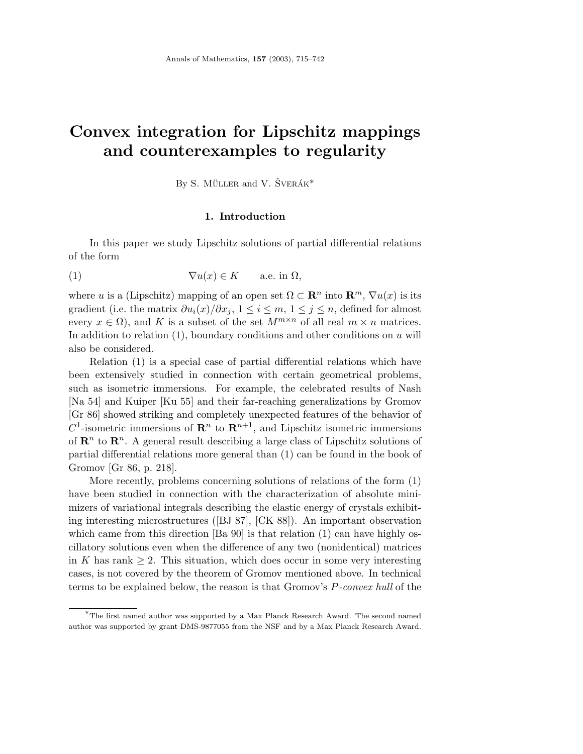# **Convex integration for Lipschitz mappings and counterexamples to regularity**

By S. MÜLLER and V.  $\text{ŠVERÁK}^*$ 

#### **1. Introduction**

In this paper we study Lipschitz solutions of partial differential relations of the form

(1) 
$$
\nabla u(x) \in K \quad \text{a.e. in } \Omega,
$$

where *u* is a (Lipschitz) mapping of an open set  $\Omega \subset \mathbb{R}^n$  into  $\mathbb{R}^m$ ,  $\nabla u(x)$  is its gradient (i.e. the matrix  $\partial u_i(x)/\partial x_j$ ,  $1 \leq i \leq m, 1 \leq j \leq n$ , defined for almost every  $x \in \Omega$ , and K is a subset of the set  $M^{m \times n}$  of all real  $m \times n$  matrices. In addition to relation (1), boundary conditions and other conditions on *u* will also be considered.

Relation (1) is a special case of partial differential relations which have been extensively studied in connection with certain geometrical problems, such as isometric immersions. For example, the celebrated results of Nash [Na 54] and Kuiper [Ku 55] and their far-reaching generalizations by Gromov [Gr 86] showed striking and completely unexpected features of the behavior of  $C^1$ -isometric immersions of  $\mathbb{R}^n$  to  $\mathbb{R}^{n+1}$ , and Lipschitz isometric immersions of  $\mathbb{R}^n$  to  $\mathbb{R}^n$ . A general result describing a large class of Lipschitz solutions of partial differential relations more general than (1) can be found in the book of Gromov [Gr 86, p. 218].

More recently, problems concerning solutions of relations of the form (1) have been studied in connection with the characterization of absolute minimizers of variational integrals describing the elastic energy of crystals exhibiting interesting microstructures ([BJ 87], [CK 88]). An important observation which came from this direction [Ba 90] is that relation (1) can have highly oscillatory solutions even when the difference of any two (nonidentical) matrices in *K* has rank  $\geq 2$ . This situation, which does occur in some very interesting cases, is not covered by the theorem of Gromov mentioned above. In technical terms to be explained below, the reason is that Gromov's *P*-convex hull of the

<sup>∗</sup>The first named author was supported by a Max Planck Research Award. The second named author was supported by grant DMS-9877055 from the NSF and by a Max Planck Research Award.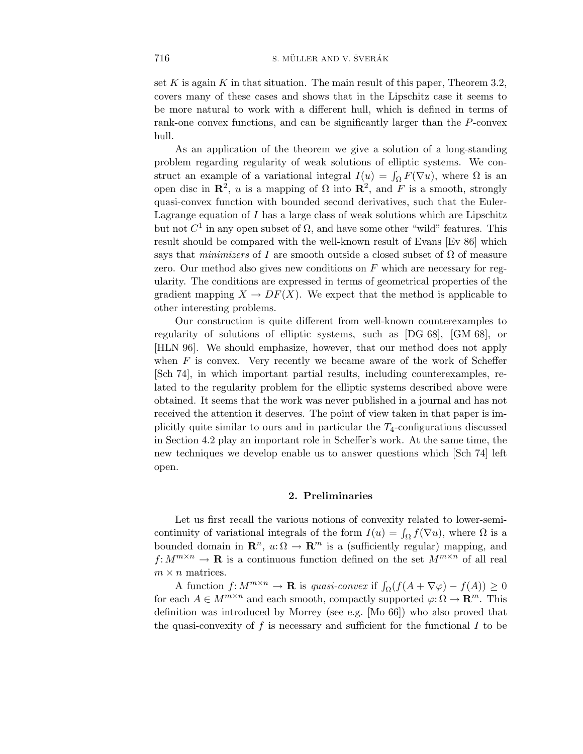set *K* is again *K* in that situation. The main result of this paper, Theorem 3*.*2, covers many of these cases and shows that in the Lipschitz case it seems to be more natural to work with a different hull, which is defined in terms of rank-one convex functions, and can be significantly larger than the *P*-convex hull.

As an application of the theorem we give a solution of a long-standing problem regarding regularity of weak solutions of elliptic systems. We construct an example of a variational integral  $I(u) = \int_{\Omega} F(\nabla u)$ , where  $\Omega$  is an open disc in  $\mathbb{R}^2$ , *u* is a mapping of  $\Omega$  into  $\mathbb{R}^2$ , and *F* is a smooth, strongly quasi-convex function with bounded second derivatives, such that the Euler-Lagrange equation of *I* has a large class of weak solutions which are Lipschitz but not  $C^1$  in any open subset of  $\Omega$ , and have some other "wild" features. This result should be compared with the well-known result of Evans [Ev 86] which says that *minimizers* of *I* are smooth outside a closed subset of  $\Omega$  of measure zero. Our method also gives new conditions on *F* which are necessary for regularity. The conditions are expressed in terms of geometrical properties of the gradient mapping  $X \to DF(X)$ . We expect that the method is applicable to other interesting problems.

Our construction is quite different from well-known counterexamples to regularity of solutions of elliptic systems, such as [DG 68], [GM 68], or [HLN 96]. We should emphasize, however, that our method does not apply when  $F$  is convex. Very recently we became aware of the work of Scheffer [Sch 74], in which important partial results, including counterexamples, related to the regularity problem for the elliptic systems described above were obtained. It seems that the work was never published in a journal and has not received the attention it deserves. The point of view taken in that paper is implicitly quite similar to ours and in particular the *T*4-configurations discussed in Section 4.2 play an important role in Scheffer's work. At the same time, the new techniques we develop enable us to answer questions which [Sch 74] left open.

#### **2. Preliminaries**

Let us first recall the various notions of convexity related to lower-semicontinuity of variational integrals of the form  $I(u) = \int_{\Omega} f(\nabla u)$ , where  $\Omega$  is a bounded domain in  $\mathbb{R}^n$ ,  $u: \Omega \to \mathbb{R}^m$  is a (sufficiently regular) mapping, and  $f: M^{m \times n} \to \mathbf{R}$  is a continuous function defined on the set  $M^{m \times n}$  of all real  $m \times n$  matrices.

A function  $f: M^{m \times n} \to \mathbf{R}$  is quasi-convex if  $\int_{\Omega} (f(A + \nabla \varphi) - f(A)) \geq 0$ for each  $A \in M^{m \times n}$  and each smooth, compactly supported  $\varphi: \Omega \to \mathbf{R}^m$ . This definition was introduced by Morrey (see e.g. [Mo 66]) who also proved that the quasi-convexity of *f* is necessary and sufficient for the functional *I* to be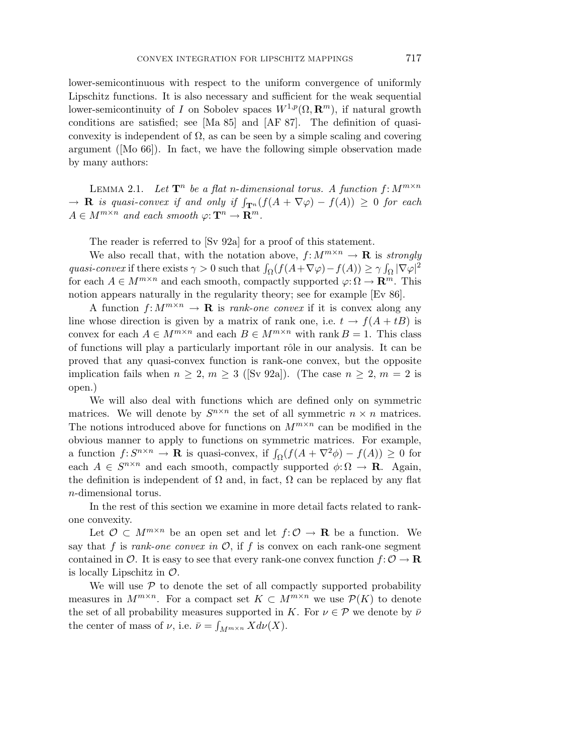lower-semicontinuous with respect to the uniform convergence of uniformly Lipschitz functions. It is also necessary and sufficient for the weak sequential lower-semicontinuity of *I* on Sobolev spaces  $W^{1,p}(\Omega, \mathbb{R}^m)$ , if natural growth conditions are satisfied; see [Ma 85] and [AF 87]. The definition of quasiconvexity is independent of  $\Omega$ , as can be seen by a simple scaling and covering argument ([Mo 66]). In fact, we have the following simple observation made by many authors:

LEMMA 2.1. Let  $\mathbf{T}^n$  be a flat *n*-dimensional torus. A function  $f: M^{m \times n}$  $\rightarrow$  **R** is quasi-convex if and only if  $\int_{\mathbf{T}^n} (f(A + \nabla \varphi) - f(A)) \geq 0$  for each  $A \in M^{m \times n}$  and each smooth  $\varphi: \mathbf{T}^n \to \mathbf{R}^m$ .

The reader is referred to [Sv 92a] for a proof of this statement.

We also recall that, with the notation above,  $f: M^{m \times n} \to \mathbf{R}$  is strongly quasi-convex if there exists  $\gamma > 0$  such that  $\int_{\Omega} (f(A + \nabla \varphi) - f(A)) \ge \gamma \int_{\Omega} |\nabla \varphi|^2$ for each  $A \in M^{m \times n}$  and each smooth, compactly supported  $\varphi: \Omega \to \mathbf{R}^m$ . This notion appears naturally in the regularity theory; see for example [Ev 86].

A function  $f: M^{m \times n} \to \mathbf{R}$  is *rank-one convex* if it is convex along any line whose direction is given by a matrix of rank one, i.e.  $t \to f(A + tB)$  is convex for each  $A \in M^{m \times n}$  and each  $B \in M^{m \times n}$  with rank  $B = 1$ . This class of functions will play a particularly important rôle in our analysis. It can be proved that any quasi-convex function is rank-one convex, but the opposite implication fails when  $n \geq 2, m \geq 3$  ([Sv 92a]). (The case  $n \geq 2, m = 2$  is open.)

We will also deal with functions which are defined only on symmetric matrices. We will denote by  $S^{n \times n}$  the set of all symmetric  $n \times n$  matrices. The notions introduced above for functions on  $M^{m \times n}$  can be modified in the obvious manner to apply to functions on symmetric matrices. For example, a function  $f: S^{n \times n} \to \mathbf{R}$  is quasi-convex, if  $\int_{\Omega} (f(A + \nabla^2 \phi) - f(A)) \geq 0$  for each  $A \in S^{n \times n}$  and each smooth, compactly supported  $\phi: \Omega \to \mathbf{R}$ . Again, the definition is independent of  $\Omega$  and, in fact,  $\Omega$  can be replaced by any flat *n*-dimensional torus.

In the rest of this section we examine in more detail facts related to rankone convexity.

Let  $\mathcal{O} \subset M^{m \times n}$  be an open set and let  $f: \mathcal{O} \to \mathbf{R}$  be a function. We say that  $f$  is rank-one convex in  $\mathcal{O}$ , if  $f$  is convex on each rank-one segment contained in  $\mathcal{O}$ . It is easy to see that every rank-one convex function  $f: \mathcal{O} \to \mathbf{R}$ is locally Lipschitz in  $\mathcal{O}$ .

We will use  $P$  to denote the set of all compactly supported probability measures in  $M^{m\times n}$ . For a compact set  $K\subset M^{m\times n}$  we use  $\mathcal{P}(K)$  to denote the set of all probability measures supported in *K*. For  $\nu \in \mathcal{P}$  we denote by  $\bar{\nu}$ the center of mass of  $\nu$ , i.e.  $\bar{\nu} = \int_{M^{m \times n}} X d\nu(X)$ .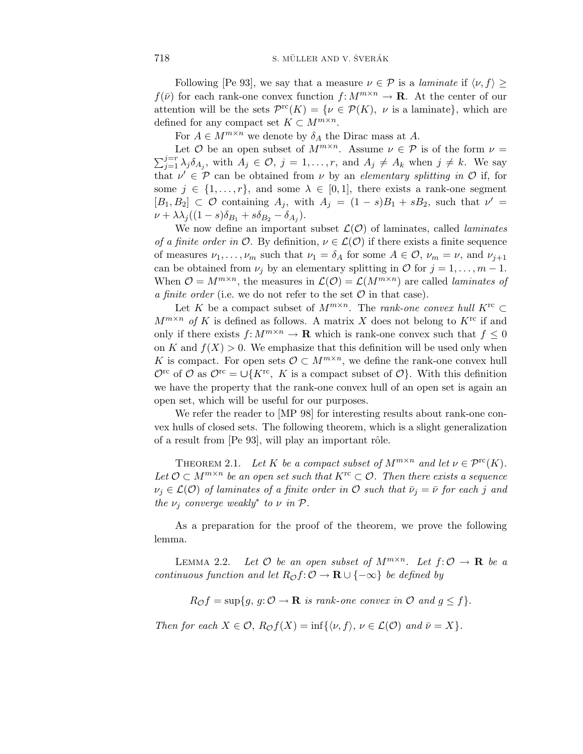Following [Pe 93], we say that a measure  $\nu \in \mathcal{P}$  is a *laminate* if  $\langle \nu, f \rangle \geq$  $f(\bar{\nu})$  for each rank-one convex function  $f: M^{m \times n} \to \mathbf{R}$ . At the center of our attention will be the sets  $\mathcal{P}^{\text{rc}}(K) = \{ \nu \in \mathcal{P}(K), \ \nu \text{ is a laminate} \}$ , which are defined for any compact set  $K \subset M^{m \times n}$ .

For  $A \in M^{m \times n}$  we denote by  $\delta_A$  the Dirac mass at A.

Let  $\mathcal O$  be an open subset of  $M^{m \times n}$ . Assume  $\nu \in \mathcal P$  is of the form  $\nu =$  $\sum_{j=1}^{j=r} \lambda_j \delta_{A_j}$ , with  $A_j \in \mathcal{O}$ ,  $j = 1, \ldots, r$ , and  $A_j \neq A_k$  when  $j \neq k$ . We say that  $\nu' \in \mathcal{P}$  can be obtained from  $\nu$  by an *elementary splitting in*  $\mathcal{O}$  if, for some  $j \in \{1, \ldots, r\}$ , and some  $\lambda \in [0, 1]$ , there exists a rank-one segment  $[B_1, B_2] \subset \mathcal{O}$  containing  $A_j$ , with  $A_j = (1 - s)B_1 + sB_2$ , such that  $\nu' =$  $\nu + \lambda \lambda_j ((1 - s) \delta_{B_1} + s \delta_{B_2} - \delta_{A_j}).$ 

We now define an important subset  $\mathcal{L}(\mathcal{O})$  of laminates, called *laminates* of a finite order in  $\mathcal{O}$ . By definition,  $\nu \in \mathcal{L}(\mathcal{O})$  if there exists a finite sequence of measures  $\nu_1, \ldots, \nu_m$  such that  $\nu_1 = \delta_A$  for some  $A \in \mathcal{O}, \nu_m = \nu$ , and  $\nu_{j+1}$ can be obtained from  $\nu_j$  by an elementary splitting in  $\mathcal O$  for  $j = 1, \ldots, m - 1$ . When  $\mathcal{O} = M^{m \times n}$ , the measures in  $\mathcal{L}(\mathcal{O}) = \mathcal{L}(M^{m \times n})$  are called *laminates of* a finite order (i.e. we do not refer to the set  $\mathcal O$  in that case).

Let *K* be a compact subset of  $M^{m \times n}$ . The *rank-one convex hull*  $K^{rc} \subset$  $M^{m \times n}$  of *K* is defined as follows. A matrix *X* does not belong to  $K^{rc}$  if and only if there exists  $f: M^{m \times n} \to \mathbf{R}$  which is rank-one convex such that  $f \leq 0$ on  $K$  and  $f(X) > 0$ . We emphasize that this definition will be used only when *K* is compact. For open sets  $\mathcal{O} \subset M^{m \times n}$ , we define the rank-one convex hull  $\mathcal{O}^{\text{rc}}$  of  $\mathcal{O}$  as  $\mathcal{O}^{\text{rc}} = \bigcup \{K^{\text{rc}}$ , K is a compact subset of  $\mathcal{O}\}$ . With this definition we have the property that the rank-one convex hull of an open set is again an open set, which will be useful for our purposes.

We refer the reader to [MP 98] for interesting results about rank-one convex hulls of closed sets. The following theorem, which is a slight generalization of a result from [Pe 93], will play an important rôle.

THEOREM 2.1. Let *K* be a compact subset of  $M^{m \times n}$  and let  $\nu \in \mathcal{P}^{\text{rc}}(K)$ . Let  $\mathcal{O} \subset M^{m \times n}$  be an open set such that  $K^{rc} \subset \mathcal{O}$ . Then there exists a sequence  $\nu_j \in \mathcal{L}(\mathcal{O})$  of laminates of a finite order in  $\mathcal{O}$  such that  $\bar{\nu}_j = \bar{\nu}$  for each *j* and the  $\nu_i$  converge weakly<sup>\*</sup> to  $\nu$  in  $\mathcal{P}$ .

As a preparation for the proof of the theorem, we prove the following lemma.

LEMMA 2.2. Let  $\mathcal{O}$  be an open subset of  $M^{m \times n}$ . Let  $f: \mathcal{O} \to \mathbf{R}$  be a continuous function and let  $R_{\mathcal{O}} f: \mathcal{O} \to \mathbf{R} \cup \{-\infty\}$  be defined by

 $R_{\mathcal{O}}f = \sup\{g, g: \mathcal{O} \to \mathbf{R} \text{ is rank-one convex in } \mathcal{O} \text{ and } g \leq f\}.$ 

Then for each  $X \in \mathcal{O}$ ,  $R_{\mathcal{O}}f(X) = \inf\{\langle \nu, f \rangle, \nu \in \mathcal{L}(\mathcal{O}) \text{ and } \bar{\nu} = X\}.$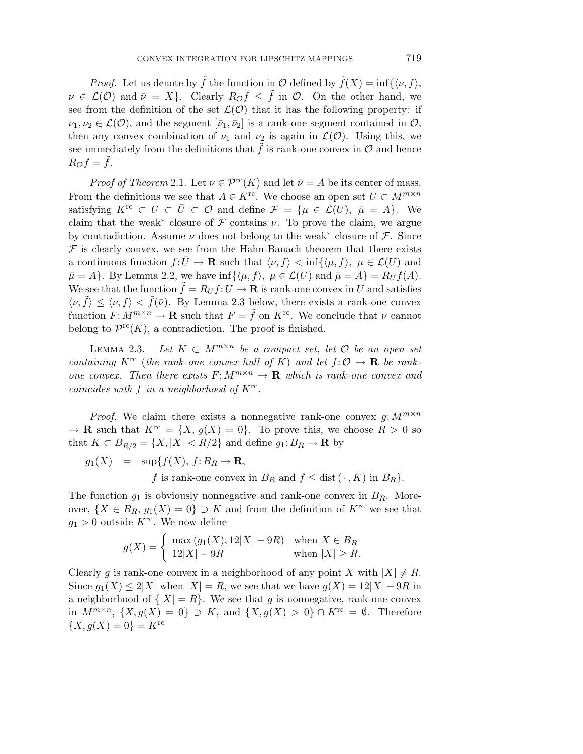*Proof.* Let us denote by  $\tilde{f}$  the function in  $\mathcal{O}$  defined by  $\tilde{f}(X) = \inf\{\langle \nu, f \rangle,$  $\nu \in \mathcal{L}(\mathcal{O})$  and  $\bar{\nu} = X$ . Clearly  $R_{\mathcal{O}} f \leq \tilde{f}$  in  $\mathcal{O}$ . On the other hand, we see from the definition of the set  $\mathcal{L}(\mathcal{O})$  that it has the following property: if  $\nu_1, \nu_2 \in \mathcal{L}(\mathcal{O})$ , and the segment  $[\bar{\nu}_1, \bar{\nu}_2]$  is a rank-one segment contained in  $\mathcal{O}$ , then any convex combination of  $\nu_1$  and  $\nu_2$  is again in  $\mathcal{L}(\mathcal{O})$ . Using this, we see immediately from the definitions that  $\tilde{f}$  is rank-one convex in  $\mathcal O$  and hence  $R_{\mathcal{O}} f = f$ .

*Proof of Theorem* 2.1. Let  $\nu \in \mathcal{P}^{\text{rc}}(K)$  and let  $\bar{\nu} = A$  be its center of mass. From the definitions we see that  $A \in K^{\text{rc}}$ . We choose an open set  $U \subset M^{m \times n}$ satisfying  $K^{rc} \subset U \subset \overline{U} \subset \mathcal{O}$  and define  $\mathcal{F} = {\mu \in \mathcal{L}(U), \overline{\mu} = A}.$  We claim that the weak<sup>\*</sup> closure of  $\mathcal F$  contains  $\nu$ . To prove the claim, we argue by contradiction. Assume  $\nu$  does not belong to the weak<sup>\*</sup> closure of  $\mathcal{F}$ . Since  $\mathcal F$  is clearly convex, we see from the Hahn-Banach theorem that there exists a continuous function  $f: \bar{U} \to \mathbf{R}$  such that  $\langle \nu, f \rangle < \inf \{ \langle \mu, f \rangle, \ \mu \in \mathcal{L}(U) \text{ and } \}$  $\bar{\mu} = A$ . By Lemma 2.2, we have inf $\{\langle \mu, f \rangle, \ \mu \in \mathcal{L}(U) \text{ and } \bar{\mu} = A\} = R_U f(A).$ We see that the function  $\tilde{f} = R_U f : U \to \mathbf{R}$  is rank-one convex in *U* and satisfies  $\langle \nu, \tilde{f} \rangle \leq \langle \nu, f \rangle < \tilde{f}(\bar{\nu})$ . By Lemma 2.3 below, there exists a rank-one convex function  $F: M^{m \times n} \to \mathbf{R}$  such that  $F = \tilde{f}$  on  $K^{rc}$ . We conclude that  $\nu$  cannot belong to  $\mathcal{P}^{\text{rc}}(K)$ , a contradiction. The proof is finished.

LEMMA 2.3. Let  $K \subset M^{m \times n}$  be a compact set, let  $\mathcal O$  be an open set containing  $K^{\text{rc}}$  (the rank-one convex hull of K) and let  $f: \mathcal{O} \to \mathbf{R}$  be rankone convex. Then there exists  $F: M^{m \times n} \to \mathbf{R}$  which is rank-one convex and coincides with *f* in a neighborhood of *K*rc.

*Proof.* We claim there exists a nonnegative rank-one convex  $q: M^{m \times n}$  $\rightarrow \mathbf{R}$  such that  $K^{\text{rc}} = \{X, g(X) = 0\}$ . To prove this, we choose  $R > 0$  so that  $K \subset B_{R/2} = \{X, |X| < R/2\}$  and define  $g_1: B_R \to \mathbf{R}$  by

 $g_1(X) = \sup\{f(X), f: B_R \to \mathbf{R},\}$ 

*f* is rank-one convex in  $B_R$  and  $f \leq \text{dist}(\cdot, K)$  in  $B_R$ *.* 

The function  $g_1$  is obviously nonnegative and rank-one convex in  $B_R$ . Moreover,  $\{X \in B_R, g_1(X) = 0\} \supset K$  and from the definition of  $K^{\text{rc}}$  we see that  $g_1 > 0$  outside  $K^{\text{rc}}$ . We now define

$$
g(X) = \begin{cases} \max(g_1(X), 12|X| - 9R) & \text{when } X \in B_R \\ 12|X| - 9R & \text{when } |X| \ge R. \end{cases}
$$

Clearly g is rank-one convex in a neighborhood of any point X with  $|X| \neq R$ . Since  $g_1(X) \le 2|X|$  when  $|X| = R$ , we see that we have  $g(X) = 12|X| - 9R$  in a neighborhood of  $\{|X| = R\}$ . We see that *g* is nonnegative, rank-one convex in  $M^{m \times n}$ ,  $\{X, g(X) = 0\} \supset K$ , and  $\{X, g(X) > 0\} \cap K^{rc} = \emptyset$ . Therefore  ${X, g(X) = 0} = K^{rc}$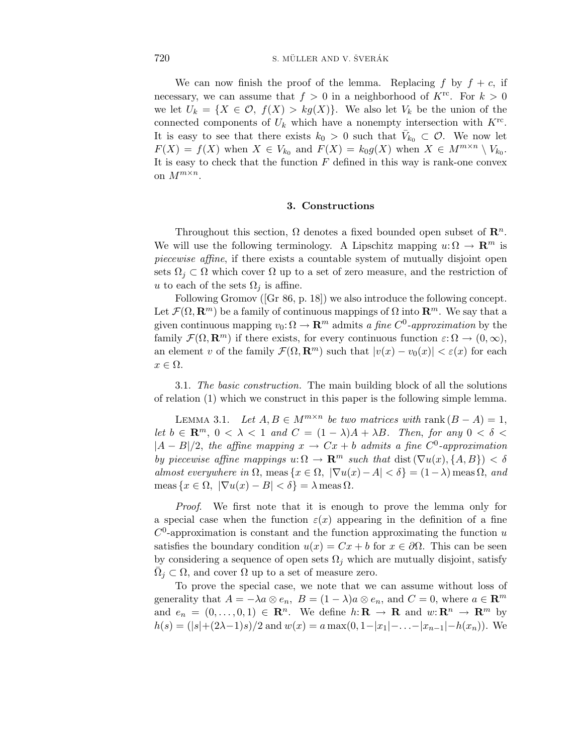We can now finish the proof of the lemma. Replacing  $f$  by  $f + c$ , if necessary, we can assume that  $f > 0$  in a neighborhood of  $K^{rc}$ . For  $k > 0$ we let  $U_k = \{X \in \mathcal{O}, f(X) > kg(X)\}.$  We also let  $V_k$  be the union of the connected components of  $U_k$  which have a nonempty intersection with  $K^{\text{rc}}$ . It is easy to see that there exists  $k_0 > 0$  such that  $\bar{V}_{k_0} \subset \mathcal{O}$ . We now let  $F(X) = f(X)$  when  $X \in V_{k_0}$  and  $F(X) = k_0 g(X)$  when  $X \in M^{m \times n} \setminus V_{k_0}$ . It is easy to check that the function *F* defined in this way is rank-one convex on *M*m×n.

#### **3. Constructions**

Throughout this section,  $\Omega$  denotes a fixed bounded open subset of  $\mathbb{R}^n$ . We will use the following terminology. A Lipschitz mapping  $u: \Omega \to \mathbb{R}^m$  is piecewise affine, if there exists a countable system of mutually disjoint open sets  $\Omega_i \subset \Omega$  which cover  $\Omega$  up to a set of zero measure, and the restriction of *u* to each of the sets  $\Omega_i$  is affine.

Following Gromov ([Gr 86, p. 18]) we also introduce the following concept. Let  $\mathcal{F}(\Omega, \mathbf{R}^m)$  be a family of continuous mappings of  $\Omega$  into  $\mathbf{R}^m$ . We say that a given continuous mapping  $v_0: \Omega \to \mathbf{R}^m$  admits a fine  $C^0$ -approximation by the family  $\mathcal{F}(\Omega, \mathbf{R}^m)$  if there exists, for every continuous function  $\varepsilon: \Omega \to (0, \infty)$ , an element *v* of the family  $\mathcal{F}(\Omega, \mathbf{R}^m)$  such that  $|v(x) - v_0(x)| < \varepsilon(x)$  for each  $x \in \Omega$ .

3.1. The basic construction. The main building block of all the solutions of relation (1) which we construct in this paper is the following simple lemma.

LEMMA 3.1. Let  $A, B \in M^{m \times n}$  be two matrices with rank  $(B - A) = 1$ , let  $b \in \mathbb{R}^m$ ,  $0 < \lambda < 1$  and  $C = (1 - \lambda)A + \lambda B$ . Then, for any  $0 < \delta <$  $|A - B|/2$ , the affine mapping  $x \to Cx + b$  admits a fine  $C^0$ -approximation by piecewise affine mappings  $u: \Omega \to \mathbf{R}^m$  such that dist  $(\nabla u(x), \{A, B\}) < \delta$ almost everywhere in  $\Omega$ , meas  $\{x \in \Omega, |\nabla u(x) - A| < \delta\} = (1 - \lambda)$  meas  $\Omega$ , and  $\text{meas } \{x \in \Omega, |\nabla u(x) - B| < \delta\} = \lambda \text{meas } \Omega.$ 

Proof. We first note that it is enough to prove the lemma only for a special case when the function  $\varepsilon(x)$  appearing in the definition of a fine  $C^0$ -approximation is constant and the function approximating the function *u* satisfies the boundary condition  $u(x) = Cx + b$  for  $x \in \partial \Omega$ . This can be seen by considering a sequence of open sets  $\Omega_i$  which are mutually disjoint, satisfy  $\Omega_j \subset \Omega$ , and cover  $\Omega$  up to a set of measure zero.

To prove the special case, we note that we can assume without loss of generality that  $A = -\lambda a \otimes e_n$ ,  $B = (1 - \lambda)a \otimes e_n$ , and  $C = 0$ , where  $a \in \mathbb{R}^m$ and  $e_n = (0, \ldots, 0, 1) \in \mathbb{R}^n$ . We define  $h: \mathbb{R} \to \mathbb{R}$  and  $w: \mathbb{R}^n \to \mathbb{R}^m$  by  $h(s) = (|s|+(2\lambda-1)s)/2$  and  $w(x) = a \max(0, 1-|x_1|-\ldots-|x_{n-1}|-h(x_n)).$  We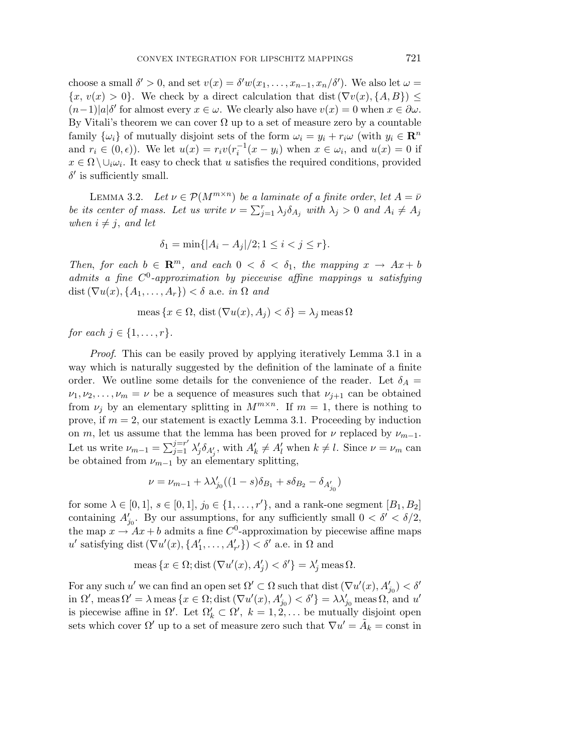choose a small  $\delta' > 0$ , and set  $v(x) = \delta' w(x_1, \ldots, x_{n-1}, x_n/\delta')$ . We also let  $\omega =$  ${x, v(x) > 0}$ . We check by a direct calculation that dist  $(\nabla v(x), \{A, B\}) \le$  $(n-1)|a|\delta'$  for almost every  $x \in \omega$ . We clearly also have  $v(x) = 0$  when  $x \in \partial \omega$ . By Vitali's theorem we can cover  $\Omega$  up to a set of measure zero by a countable family  $\{\omega_i\}$  of mutually disjoint sets of the form  $\omega_i = y_i + r_i \omega$  (with  $y_i \in \mathbb{R}^n$ and  $r_i \in (0, \epsilon)$ ). We let  $u(x) = r_i v(r_i^{-1}(x - y_i)$  when  $x \in \omega_i$ , and  $u(x) = 0$  if  $x \in \Omega \setminus \cup_i \omega_i$ . It easy to check that *u* satisfies the required conditions, provided  $\delta'$  is sufficiently small.

LEMMA 3.2. Let  $\nu \in \mathcal{P}(M^{m \times n})$  be a laminate of a finite order, let  $A = \overline{\nu}$ be its center of mass. Let us write  $\nu = \sum_{j=1}^r \lambda_j \delta_{A_j}$  with  $\lambda_j > 0$  and  $A_i \neq A_j$ when  $i \neq j$ , and let

$$
\delta_1 = \min\{|A_i - A_j|/2; 1 \le i < j \le r\}.
$$

Then, for each  $b \in \mathbb{R}^m$ , and each  $0 < \delta < \delta_1$ , the mapping  $x \to Ax + b$ admits a fine *C*0-approximation by piecewise affine mappings *u* satisfying dist  $(\nabla u(x), \{A_1, \ldots, A_r\}) < \delta$  a.e. in  $\Omega$  and

$$
\operatorname{meas}\left\{x \in \Omega, \operatorname{dist}\left(\nabla u(x), A_j\right) < \delta\right\} = \lambda_j \operatorname{meas} \Omega
$$

for each  $j \in \{1, \ldots, r\}$ .

Proof. This can be easily proved by applying iteratively Lemma 3.1 in a way which is naturally suggested by the definition of the laminate of a finite order. We outline some details for the convenience of the reader. Let  $\delta_A =$  $\nu_1, \nu_2, \ldots, \nu_m = \nu$  be a sequence of measures such that  $\nu_{j+1}$  can be obtained from  $\nu_j$  by an elementary splitting in  $M^{m \times n}$ . If  $m = 1$ , there is nothing to prove, if  $m = 2$ , our statement is exactly Lemma 3.1. Proceeding by induction on *m*, let us assume that the lemma has been proved for  $\nu$  replaced by  $\nu_{m-1}$ . Let us write  $\nu_{m-1} = \sum_{j=1}^{j=r'} \lambda'_j \delta_{A'_j}$ , with  $A'_k \neq A'_l$  when  $k \neq l$ . Since  $\nu = \nu_m$  can be obtained from  $\nu_{m-1}$  by an elementary splitting,

$$
\nu = \nu_{m-1} + \lambda \lambda'_{j_0} ((1-s)\delta_{B_1} + s\delta_{B_2} - \delta_{A'_{j_0}})
$$

for some  $\lambda \in [0, 1], s \in [0, 1], j_0 \in \{1, \ldots, r'\}$ , and a rank-one segment  $[B_1, B_2]$ containing  $A'_{j_0}$ . By our assumptions, for any sufficiently small  $0 < \delta' < \delta/2$ , the map  $x \to Ax + b$  admits a fine  $C^0$ -approximation by piecewise affine maps  $u'$  satisfying dist  $(\nabla u'(x), \{A'_1, \ldots, A'_{r'}\}) < \delta'$  a.e. in  $\Omega$  and

$$
meas \{x \in \Omega; \text{dist}(\nabla u'(x), A'_j) < \delta'\} = \lambda'_j \text{ meas } \Omega.
$$

For any such  $u'$  we can find an open set  $\Omega' \subset \Omega$  such that dist  $(\nabla u'(x), A'_{j_0}) < \delta'$ in  $\Omega'$ , meas  $\Omega' = \lambda$  meas  $\{x \in \Omega; \text{dist}(\nabla u'(x), A'_{j_0}) < \delta'\} = \lambda \lambda'_{j_0}$  meas  $\Omega$ , and  $u'$ is piecewise affine in  $\Omega'$ . Let  $\Omega'_{k} \subset \Omega'$ ,  $k = 1, 2, \ldots$  be mutually disjoint open sets which cover  $\Omega'$  up to a set of measure zero such that  $\nabla u' = A_k = \text{const}$  in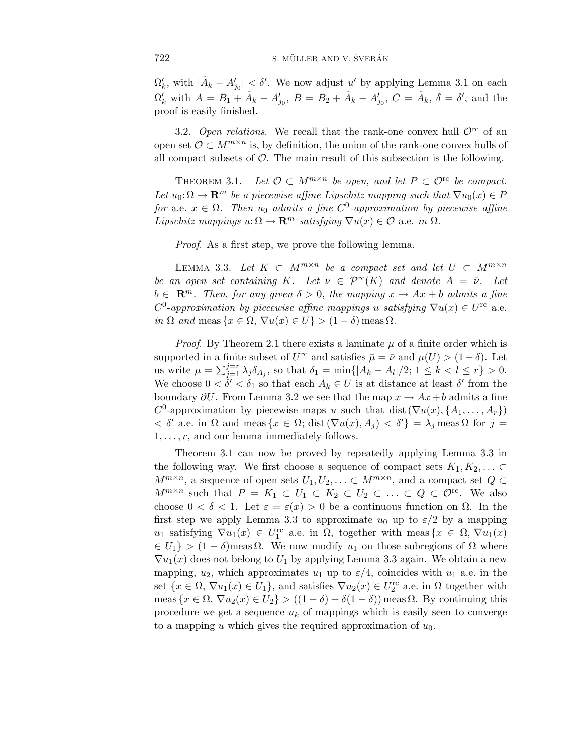$\Omega'_k$ , with  $|\tilde{A}_k - A'_{j_0}| < \delta'$ . We now adjust *u'* by applying Lemma 3.1 on each  $\Omega'_k$  with  $A = B_1 + \tilde{A}_k - A'_{j_0}, B = B_2 + \tilde{A}_k - A'_{j_0}, C = \tilde{A}_k, \delta = \delta'$ , and the proof is easily finished.

3.2. Open relations. We recall that the rank-one convex hull  $\mathcal{O}^{\text{rc}}$  of an open set  $\mathcal{O} \subset M^{m \times n}$  is, by definition, the union of the rank-one convex hulls of all compact subsets of  $\mathcal{O}$ . The main result of this subsection is the following.

THEOREM 3.1. Let  $\mathcal{O} \subset M^{m \times n}$  be open, and let  $P \subset \mathcal{O}^{rc}$  be compact. Let  $u_0: \Omega \to \mathbf{R}^m$  be a piecewise affine Lipschitz mapping such that  $\nabla u_0(x) \in P$ for a.e.  $x \in \Omega$ . Then  $u_0$  admits a fine  $C^0$ -approximation by piecewise affine Lipschitz mappings  $u: \Omega \to \mathbf{R}^m$  satisfying  $\nabla u(x) \in \mathcal{O}$  a.e. in  $\Omega$ .

Proof. As a first step, we prove the following lemma.

LEMMA 3.3. Let  $K \subset M^{m \times n}$  be a compact set and let  $U \subset M^{m \times n}$ be an open set containing *K*. Let  $\nu \in \mathcal{P}^{\text{rc}}(K)$  and denote  $A = \bar{\nu}$ . Let  $b \in \mathbb{R}^m$ . Then, for any given  $\delta > 0$ , the mapping  $x \to Ax + b$  admits a fine  $C^0$ -approximation by piecewise affine mappings *u* satisfying  $\nabla u(x) \in U^{\text{rc}}$  a.e. in  $\Omega$  and meas  $\{x \in \Omega, \nabla u(x) \in U\} > (1 - \delta)$  meas  $\Omega$ .

*Proof.* By Theorem 2.1 there exists a laminate  $\mu$  of a finite order which is supported in a finite subset of *U*<sup>rc</sup> and satisfies  $\bar{\mu} = \bar{\nu}$  and  $\mu(U) > (1 - \delta)$ . Let us write  $\mu = \sum_{j=1}^{j=r} \lambda_j \delta_{A_j}$ , so that  $\delta_1 = \min\{|A_k - A_l|/2; 1 \leq k < l \leq r\} > 0$ . We choose  $0 < \delta' < \delta_1$  so that each  $A_k \in U$  is at distance at least  $\delta'$  from the boundary  $\partial U$ . From Lemma 3.2 we see that the map  $x \to Ax + b$  admits a fine  $C^0$ -approximation by piecewise maps *u* such that dist  $(\nabla u(x), \{A_1, \ldots, A_r\})$  $\langle$  δ' a.e. in Ω and meas {*x* ∈ Ω; dist ( $∇u(x), A_j$ )  $\langle$  δ'} =  $\lambda_j$  meas Ω for *j* = 1*,...,r*, and our lemma immediately follows.

Theorem 3*.*1 can now be proved by repeatedly applying Lemma 3*.*3 in the following way. We first choose a sequence of compact sets  $K_1, K_2, \ldots \subset$ *M*<sup>m×n</sup>, a sequence of open sets  $U_1, U_2, \ldots \subset M^{m \times n}$ , and a compact set  $Q$  ⊂ *M*<sup>*m*×*n*</sup> such that *P* = *K*<sub>1</sub> ⊂ *U*<sub>1</sub> ⊂ *K*<sub>2</sub> ⊂ *U*<sub>2</sub> ⊂ *...* ⊂ *Q* ⊂  $\mathcal{O}^{\text{rc}}$ . We also choose  $0 < \delta < 1$ . Let  $\varepsilon = \varepsilon(x) > 0$  be a continuous function on  $\Omega$ . In the first step we apply Lemma 3.3 to approximate  $u_0$  up to  $\varepsilon/2$  by a mapping  $u_1$  satisfying  $\nabla u_1(x) \in U_1^{\text{rc}}$  a.e. in  $\Omega$ , together with meas { $x \in \Omega$ ,  $\nabla u_1(x)$  $\{U_1\}$  >  $(1 - \delta)$  meas  $\Omega$ . We now modify  $u_1$  on those subregions of  $\Omega$  where  $\nabla u_1(x)$  does not belong to  $U_1$  by applying Lemma 3.3 again. We obtain a new mapping,  $u_2$ , which approximates  $u_1$  up to  $\varepsilon/4$ , coincides with  $u_1$  a.e. in the set  $\{x \in \Omega, \nabla u_1(x) \in U_1\}$ , and satisfies  $\nabla u_2(x) \in U_2^{\text{rc}}$  a.e. in  $\Omega$  together with meas  $\{x \in \Omega, \nabla u_2(x) \in U_2\}$  >  $((1 - \delta) + \delta(1 - \delta))$  meas  $\Omega$ . By continuing this procedure we get a sequence  $u_k$  of mappings which is easily seen to converge to a mapping *u* which gives the required approximation of *u*0.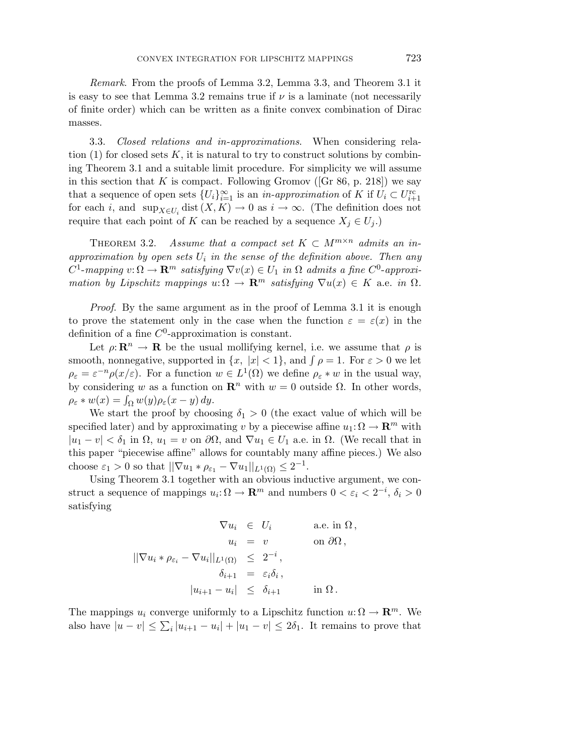Remark. From the proofs of Lemma 3.2, Lemma 3*.*3, and Theorem 3*.*1 it is easy to see that Lemma 3.2 remains true if  $\nu$  is a laminate (not necessarily of finite order) which can be written as a finite convex combination of Dirac masses.

3.3. Closed relations and in-approximations. When considering relation  $(1)$  for closed sets  $K$ , it is natural to try to construct solutions by combining Theorem 3*.*1 and a suitable limit procedure. For simplicity we will assume in this section that  $K$  is compact. Following Gromov ([Gr 86, p. 218]) we say that a sequence of open sets  ${U_i}_{i=1}^{\infty}$  is an *in-approximation* of *K* if  $U_i \subset U_{i+1}^{\text{rc}}$ for each *i*, and  $\sup_{X \in U_i}$  dist  $(X, K) \to 0$  as  $i \to \infty$ . (The definition does not require that each point of *K* can be reached by a sequence  $X_i \in U_i$ .)

THEOREM 3.2. Assume that a compact set  $K \subset M^{m \times n}$  admits an inapproximation by open sets  $U_i$  in the sense of the definition above. Then any  $C^1$ -mapping  $v: \Omega \to \mathbf{R}^m$  satisfying  $\nabla v(x) \in U_1$  in  $\Omega$  admits a fine  $C^0$ -approximation by Lipschitz mappings  $u: \Omega \to \mathbb{R}^m$  satisfying  $\nabla u(x) \in K$  a.e. in  $\Omega$ .

Proof. By the same argument as in the proof of Lemma 3.1 it is enough to prove the statement only in the case when the function  $\varepsilon = \varepsilon(x)$  in the definition of a fine *C*0-approximation is constant.

Let  $\rho: \mathbb{R}^n \to \mathbb{R}$  be the usual mollifying kernel, i.e. we assume that  $\rho$  is smooth, nonnegative, supported in  $\{x, |x| < 1\}$ , and  $\int \rho = 1$ . For  $\varepsilon > 0$  we let  $\rho_{\varepsilon} = \varepsilon^{-n} \rho(x/\varepsilon)$ . For a function  $w \in L^1(\Omega)$  we define  $\rho_{\varepsilon} * w$  in the usual way, by considering *w* as a function on  $\mathbb{R}^n$  with  $w = 0$  outside  $\Omega$ . In other words,  $\rho_{\varepsilon} * w(x) = \int_{\Omega} w(y) \rho_{\varepsilon}(x - y) dy.$ 

We start the proof by choosing  $\delta_1 > 0$  (the exact value of which will be specified later) and by approximating *v* by a piecewise affine  $u_1: \Omega \to \mathbb{R}^m$  with  $|u_1 - v| < \delta_1$  in  $\Omega$ ,  $u_1 = v$  on  $\partial\Omega$ , and  $\nabla u_1 \in U_1$  a.e. in  $\Omega$ . (We recall that in this paper "piecewise affine" allows for countably many affine pieces.) We also choose  $\varepsilon_1 > 0$  so that  $||\nabla u_1 * \rho_{\varepsilon_1} - \nabla u_1||_{L^1(\Omega)} \leq 2^{-1}$ .

Using Theorem 3*.*1 together with an obvious inductive argument, we construct a sequence of mappings  $u_i: \Omega \to \mathbf{R}^m$  and numbers  $0 < \varepsilon_i < 2^{-i}, \delta_i > 0$ satisfying

$$
\nabla u_i \in U_i \quad \text{a.e. in } \Omega,
$$
  
\n
$$
u_i = v \quad \text{on } \partial\Omega,
$$
  
\n
$$
||\nabla u_i * \rho_{\varepsilon_i} - \nabla u_i||_{L^1(\Omega)} \leq 2^{-i},
$$
  
\n
$$
\delta_{i+1} = \varepsilon_i \delta_i,
$$
  
\n
$$
|u_{i+1} - u_i| \leq \delta_{i+1} \quad \text{in } \Omega.
$$

The mappings  $u_i$  converge uniformly to a Lipschitz function  $u: \Omega \to \mathbb{R}^m$ . We also have  $|u - v| \leq \sum_{i} |u_{i+1} - u_i| + |u_1 - v| \leq 2\delta_1$ . It remains to prove that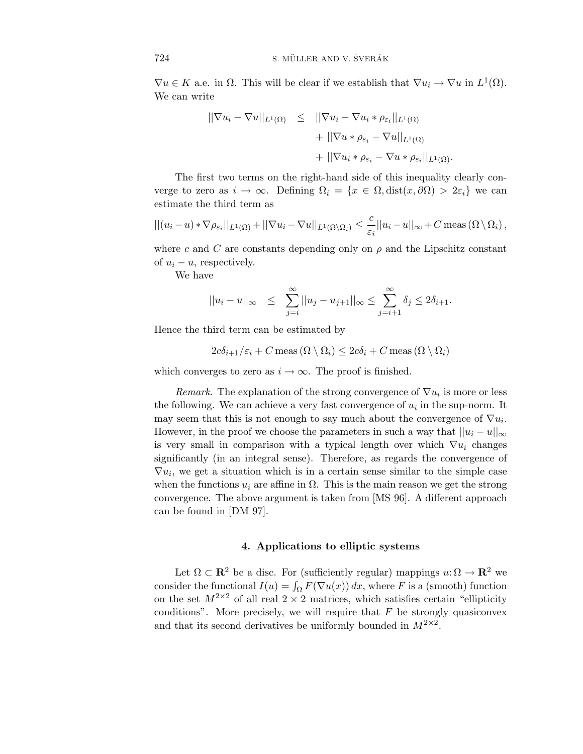$\nabla u \in K$  a.e. in  $\Omega$ . This will be clear if we establish that  $\nabla u_i \to \nabla u$  in  $L^1(\Omega)$ . We can write

$$
\begin{array}{rcl}\n||\nabla u_i - \nabla u||_{L^1(\Omega)} & \leq & ||\nabla u_i - \nabla u_i * \rho_{\varepsilon_i}||_{L^1(\Omega)} \\
& & + ||\nabla u * \rho_{\varepsilon_i} - \nabla u||_{L^1(\Omega)} \\
& & + ||\nabla u_i * \rho_{\varepsilon_i} - \nabla u * \rho_{\varepsilon_i}||_{L^1(\Omega)}.\n\end{array}
$$

The first two terms on the right-hand side of this inequality clearly converge to zero as  $i \to \infty$ . Defining  $\Omega_i = \{x \in \Omega, \text{dist}(x, \partial \Omega) > 2\varepsilon_i\}$  we can estimate the third term as

$$
||(u_i - u) * \nabla \rho_{\varepsilon_i}||_{L^1(\Omega)} + ||\nabla u_i - \nabla u||_{L^1(\Omega \setminus \Omega_i)} \leq \frac{c}{\varepsilon_i}||u_i - u||_{\infty} + C \operatorname{meas} (\Omega \setminus \Omega_i),
$$

where *c* and *C* are constants depending only on  $\rho$  and the Lipschitz constant of  $u_i - u$ , respectively.

We have

$$
||u_i - u||_{\infty} \leq \sum_{j=i}^{\infty} ||u_j - u_{j+1}||_{\infty} \leq \sum_{j=i+1}^{\infty} \delta_j \leq 2\delta_{i+1}.
$$

Hence the third term can be estimated by

$$
2c\delta_{i+1}/\varepsilon_i + C \operatorname{meas}(\Omega \setminus \Omega_i) \le 2c\delta_i + C \operatorname{meas}(\Omega \setminus \Omega_i)
$$

which converges to zero as  $i \to \infty$ . The proof is finished.

*Remark.* The explanation of the strong convergence of  $\nabla u_i$  is more or less the following. We can achieve a very fast convergence of  $u_i$  in the sup-norm. It may seem that this is not enough to say much about the convergence of  $\nabla u_i$ . However, in the proof we choose the parameters in such a way that  $||u_i - u||_{\infty}$ is very small in comparison with a typical length over which  $\nabla u_i$  changes significantly (in an integral sense). Therefore, as regards the convergence of  $\nabla u_i$ , we get a situation which is in a certain sense similar to the simple case when the functions  $u_i$  are affine in  $\Omega$ . This is the main reason we get the strong convergence. The above argument is taken from [MS 96]. A different approach can be found in [DM 97].

# **4. Applications to elliptic systems**

Let  $\Omega \subset \mathbb{R}^2$  be a disc. For (sufficiently regular) mappings  $u: \Omega \to \mathbb{R}^2$  we consider the functional  $I(u) = \int_{\Omega} F(\nabla u(x)) dx$ , where *F* is a (smooth) function on the set  $M^{2\times 2}$  of all real  $2 \times 2$  matrices, which satisfies certain "ellipticity" conditions". More precisely, we will require that  $F$  be strongly quasiconvex and that its second derivatives be uniformly bounded in  $M^{2\times 2}$ .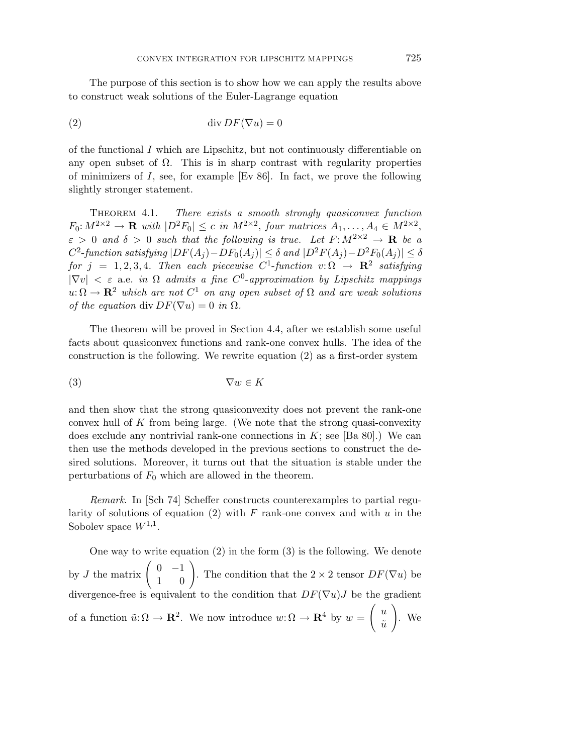The purpose of this section is to show how we can apply the results above to construct weak solutions of the Euler-Lagrange equation

$$
(2) \t\t div DF(\nabla u) = 0
$$

of the functional *I* which are Lipschitz, but not continuously differentiable on any open subset of  $\Omega$ . This is in sharp contrast with regularity properties of minimizers of *I*, see, for example [Ev 86]. In fact, we prove the following slightly stronger statement.

Theorem 4.1. There exists a smooth strongly quasiconvex function  $F_0: M^{2\times 2} \to \mathbf{R}$  with  $|D^2F_0| \leq c$  in  $M^{2\times 2}$ , four matrices  $A_1, \ldots, A_4 \in M^{2\times 2}$ ,  $\varepsilon > 0$  and  $\delta > 0$  such that the following is true. Let  $F: M^{2 \times 2} \to \mathbf{R}$  be a  $C^2$ -function satisfying  $|DF(A_i) - DF_0(A_i)| \leq \delta$  and  $|D^2F(A_i) - D^2F_0(A_i)| \leq \delta$ for  $j = 1, 2, 3, 4$ . Then each piecewise  $C^1$ -function  $v: \Omega \to \mathbb{R}^2$  satisfying  $|\nabla v| < \varepsilon$  a.e. in  $\Omega$  admits a fine  $C^0$ -approximation by Lipschitz mappings  $u: \Omega \to \mathbf{R}^2$  which are not  $C^1$  on any open subset of  $\Omega$  and are weak solutions of the equation div  $DF(\nabla u)=0$  in  $\Omega$ .

The theorem will be proved in Section 4.4, after we establish some useful facts about quasiconvex functions and rank-one convex hulls. The idea of the construction is the following. We rewrite equation (2) as a first-order system

$$
(3) \t\nabla w \in K
$$

and then show that the strong quasiconvexity does not prevent the rank-one convex hull of *K* from being large. (We note that the strong quasi-convexity does exclude any nontrivial rank-one connections in  $K$ ; see [Ba 80].) We can then use the methods developed in the previous sections to construct the desired solutions. Moreover, it turns out that the situation is stable under the perturbations of  $F_0$  which are allowed in the theorem.

Remark. In [Sch 74] Scheffer constructs counterexamples to partial regularity of solutions of equation (2) with *F* rank-one convex and with *u* in the Sobolev space  $W^{1,1}$ .

One way to write equation (2) in the form (3) is the following. We denote by *J* the matrix  $\begin{pmatrix} 0 & -1 \\ 1 & 0 \end{pmatrix}$ . The condition that the 2 × 2 tensor  $DF(\nabla u)$  be divergence-free is equivalent to the condition that  $DF(\nabla u)J$  be the gradient of a function  $\tilde{u}: \Omega \to \mathbf{R}^2$ . We now introduce  $w: \Omega \to \mathbf{R}^4$  by  $w = \begin{pmatrix} u \\ v \end{pmatrix}$  $\tilde{u}$  $\setminus$ . We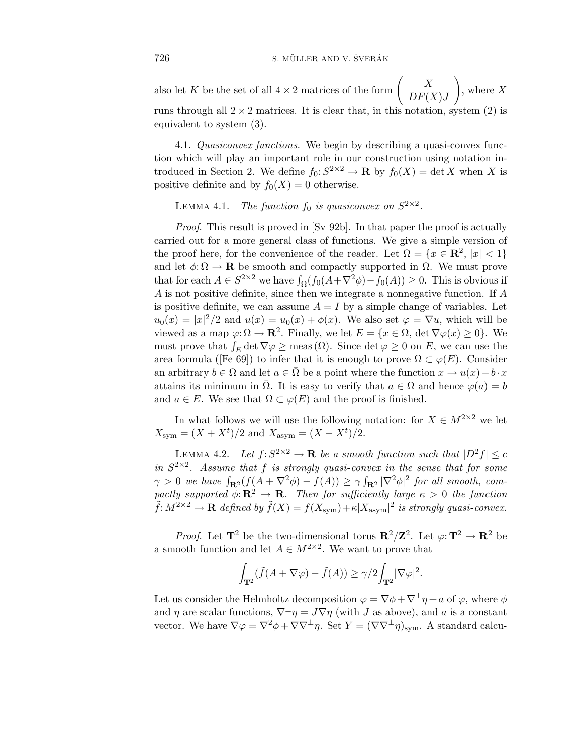also let *K* be the set of all  $4 \times 2$  matrices of the form  $\begin{pmatrix} X \\ D E \end{pmatrix}$ *DF*(*X*)*J*  $\setminus$ , where *X* runs through all  $2 \times 2$  matrices. It is clear that, in this notation, system (2) is equivalent to system (3).

4.1. Quasiconvex functions. We begin by describing a quasi-convex function which will play an important role in our construction using notation introduced in Section 2. We define  $f_0: S^{2\times 2} \to \mathbf{R}$  by  $f_0(X) = \det X$  when X is positive definite and by  $f_0(X) = 0$  otherwise.

LEMMA 4.1. The function  $f_0$  is quasiconvex on  $S^{2\times 2}$ .

Proof. This result is proved in [Sv 92b]. In that paper the proof is actually carried out for a more general class of functions. We give a simple version of the proof here, for the convenience of the reader. Let  $\Omega = \{x \in \mathbb{R}^2, |x| < 1\}$ and let  $\phi: \Omega \to \mathbf{R}$  be smooth and compactly supported in  $\Omega$ . We must prove that for each  $A \in S^{2\times 2}$  we have  $\int_{\Omega} (f_0(A + \nabla^2 \phi) - f_0(A)) \geq 0$ . This is obvious if *A* is not positive definite, since then we integrate a nonnegative function. If *A* is positive definite, we can assume  $A = I$  by a simple change of variables. Let  $u_0(x) = |x|^2/2$  and  $u(x) = u_0(x) + \phi(x)$ . We also set  $\varphi = \nabla u$ , which will be viewed as a map  $\varphi: \Omega \to \mathbb{R}^2$ . Finally, we let  $E = \{x \in \Omega, \det \nabla \varphi(x) \ge 0\}$ . We must prove that  $\int_E \det \nabla \varphi \ge \text{meas}(\Omega)$ . Since  $\det \varphi \ge 0$  on *E*, we can use the area formula ([Fe 69]) to infer that it is enough to prove  $\Omega \subset \varphi(E)$ . Consider an arbitrary  $b \in \Omega$  and let  $a \in \Omega$  be a point where the function  $x \to u(x) - b \cdot x$ attains its minimum in  $\overline{\Omega}$ . It is easy to verify that  $a \in \Omega$  and hence  $\varphi(a) = b$ and  $a \in E$ . We see that  $\Omega \subset \varphi(E)$  and the proof is finished.

In what follows we will use the following notation: for  $X \in M^{2\times 2}$  we let  $X_{sym} = (X + X^t)/2$  and  $X_{asym} = (X - X^t)/2$ .

LEMMA 4.2. Let  $f: S^{2\times 2} \to \mathbf{R}$  be a smooth function such that  $|D^2 f| \leq c$ in  $S^{2\times 2}$ . Assume that *f* is strongly quasi-convex in the sense that for some  $\gamma > 0$  we have  $\int_{\mathbf{R}^2} (f(A + \nabla^2 \phi) - f(A)) \ge \gamma \int_{\mathbf{R}^2} |\nabla^2 \phi|^2$  for all smooth, compactly supported  $\phi: \mathbb{R}^2 \to \mathbb{R}$ . Then for sufficiently large  $\kappa > 0$  the function  $\tilde{f}: M^{2\times 2}\to \mathbf{R}$  defined by  $\tilde{f}(X) = f(X_{\text{sym}}) + \kappa |X_{\text{asym}}|^2$  is strongly quasi-convex.

*Proof.* Let  $\mathbf{T}^2$  be the two-dimensional torus  $\mathbf{R}^2/\mathbf{Z}^2$ . Let  $\varphi: \mathbf{T}^2 \to \mathbf{R}^2$  be a smooth function and let  $A \in M^{2 \times 2}$ . We want to prove that

$$
\int_{\mathbf{T}^2} (\tilde{f}(A + \nabla \varphi) - \tilde{f}(A)) \ge \gamma/2 \int_{\mathbf{T}^2} |\nabla \varphi|^2.
$$

Let us consider the Helmholtz decomposition  $\varphi = \nabla \phi + \nabla^{\perp} \eta + a$  of  $\varphi$ , where  $\phi$ and *η* are scalar functions,  $\nabla^{\perp}\eta = J\nabla\eta$  (with *J* as above), and *a* is a constant vector. We have  $\nabla \varphi = \nabla^2 \varphi + \nabla \nabla^{\perp} \eta$ . Set  $Y = (\nabla \nabla^{\perp} \eta)_{sym}$ . A standard calcu-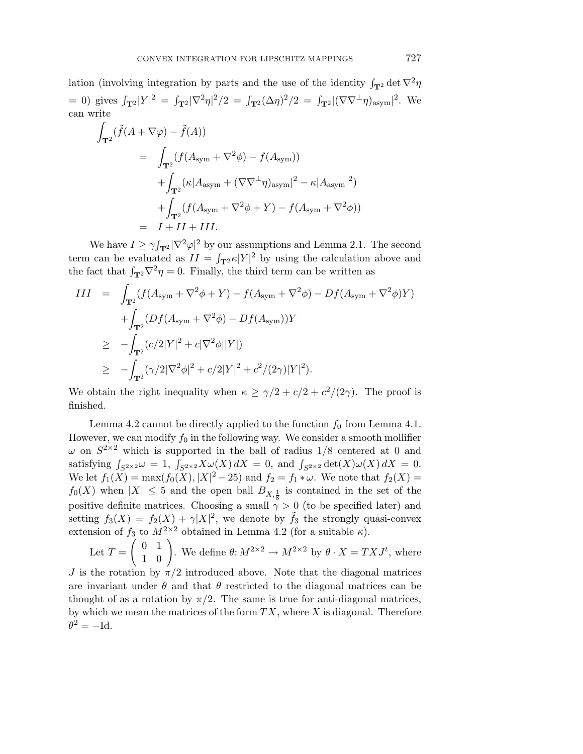lation (involving integration by parts and the use of the identity  $\int_{\mathbf{T}^2} \det \nabla^2 \eta$ = 0) gives  $\int_{\mathbf{T}^2} |Y|^2 = \int_{\mathbf{T}^2} |\nabla^2 \eta|^2 / 2 = \int_{\mathbf{T}^2} (\Delta \eta)^2 / 2 = \int_{\mathbf{T}^2} |(\nabla \nabla^{\perp} \eta)_{\text{asym}}|^2$ . We can write

$$
\int_{\mathbf{T}^2} (\tilde{f}(A + \nabla \varphi) - \tilde{f}(A))
$$
\n
$$
= \int_{\mathbf{T}^2} (f(A_{\text{sym}} + \nabla^2 \phi) - f(A_{\text{sym}}))
$$
\n
$$
+ \int_{\mathbf{T}^2} (\kappa |A_{\text{asym}} + (\nabla \nabla^{\perp} \eta)_{\text{asym}}|^2 - \kappa |A_{\text{asym}}|^2)
$$
\n
$$
+ \int_{\mathbf{T}^2} (f(A_{\text{sym}} + \nabla^2 \phi + Y) - f(A_{\text{sym}} + \nabla^2 \phi))
$$
\n
$$
= I + II + III.
$$

We have  $I \ge \gamma \int_{\mathbf{T}^2} |\nabla^2 \varphi|^2$  by our assumptions and Lemma 2.1. The second term can be evaluated as  $II = \int_{\mathbf{T}^2} \kappa |Y|^2$  by using the calculation above and the fact that  $\int_{\mathbf{T}^2} \nabla^2 \eta = 0$ . Finally, the third term can be written as

$$
III = \int_{\mathbf{T}^2} (f(A_{\text{sym}} + \nabla^2 \phi + Y) - f(A_{\text{sym}} + \nabla^2 \phi) - Df(A_{\text{sym}} + \nabla^2 \phi)Y)
$$
  
+ 
$$
\int_{\mathbf{T}^2} (Df(A_{\text{sym}} + \nabla^2 \phi) - Df(A_{\text{sym}}))Y
$$
  

$$
\geq -\int_{\mathbf{T}^2} (c/2|Y|^2 + c|\nabla^2 \phi||Y|)
$$
  

$$
\geq -\int_{\mathbf{T}^2} (\gamma/2|\nabla^2 \phi|^2 + c/2|Y|^2 + c^2/(2\gamma)|Y|^2).
$$

We obtain the right inequality when  $\kappa \geq \gamma/2 + c/2 + c^2/(2\gamma)$ . The proof is finished.

Lemma 4.2 cannot be directly applied to the function  $f_0$  from Lemma 4.1. However, we can modify  $f_0$  in the following way. We consider a smooth mollifier *ω* on  $S^{2\times 2}$  which is supported in the ball of radius 1/8 centered at 0 and satisfying  $\int_{S^{2\times 2}} \omega = 1$ ,  $\int_{S^{2\times 2}} X \omega(X) dX = 0$ , and  $\int_{S^{2\times 2}} \det(X) \omega(X) dX = 0$ . We let  $f_1(X) = \max(f_0(X), |X|^2 - 25)$  and  $f_2 = f_1 * \omega$ . We note that  $f_2(X) =$  $f_0(X)$  when  $|X| \leq 5$  and the open ball  $B_{X,\frac{1}{8}}$  is contained in the set of the positive definite matrices. Choosing a small  $\gamma > 0$  (to be specified later) and setting  $f_3(X) = f_2(X) + \gamma |X|^2$ , we denote by  $\tilde{f}_3$  the strongly quasi-convex extension of  $f_3$  to  $M^{2\times 2}$  obtained in Lemma 4.2 (for a suitable  $\kappa$ ).

Let 
$$
T = \begin{pmatrix} 0 & 1 \\ 1 & 0 \end{pmatrix}
$$
. We define  $\theta: M^{2 \times 2} \to M^{2 \times 2}$  by  $\theta \cdot X = T X J^t$ , where

*J* is the rotation by  $\pi/2$  introduced above. Note that the diagonal matrices are invariant under  $\theta$  and that  $\theta$  restricted to the diagonal matrices can be thought of as a rotation by  $\pi/2$ . The same is true for anti-diagonal matrices, by which we mean the matrices of the form *TX*, where *X* is diagonal. Therefore  $\theta^2 = -\mathrm{Id}.$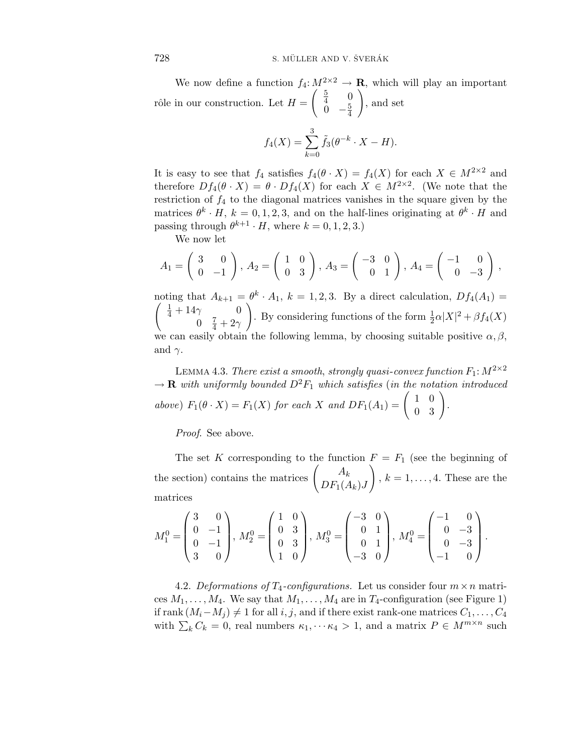We now define a function  $f_4: M^{2\times 2} \to \mathbf{R}$ , which will play an important rôle in our construction. Let  $H =$  $\begin{pmatrix} 5 & 0 \\ 4 & 0 \end{pmatrix}$  $\frac{0}{4}$  –  $\frac{5}{4}$  $\setminus$ , and set

$$
f_4(X) = \sum_{k=0}^{3} \tilde{f}_3(\theta^{-k} \cdot X - H).
$$

It is easy to see that  $f_4$  satisfies  $f_4(\theta \cdot X) = f_4(X)$  for each  $X \in M^{2 \times 2}$  and therefore  $Df_4(\theta \cdot X) = \theta \cdot Df_4(X)$  for each  $X \in M^{2 \times 2}$ . (We note that the restriction of *f*<sup>4</sup> to the diagonal matrices vanishes in the square given by the matrices  $\theta^k \cdot H$ ,  $k = 0, 1, 2, 3$ , and on the half-lines originating at  $\theta^k \cdot H$  and passing through  $\theta^{k+1} \cdot H$ , where  $k = 0, 1, 2, 3$ .)

We now let

$$
A_1 = \begin{pmatrix} 3 & 0 \\ 0 & -1 \end{pmatrix}, A_2 = \begin{pmatrix} 1 & 0 \\ 0 & 3 \end{pmatrix}, A_3 = \begin{pmatrix} -3 & 0 \\ 0 & 1 \end{pmatrix}, A_4 = \begin{pmatrix} -1 & 0 \\ 0 & -3 \end{pmatrix},
$$

noting that  $A_{k+1} = \theta^k \cdot A_1$ ,  $k = 1, 2, 3$ . By a direct calculation,  $Df_4(A_1) =$ noting that  $A_{k+1} = \theta^k \cdot A_1$ ,  $k = 1, 2, 3$ . By a direct calculation,  $Df_4(A_1) =$ <br>  $\begin{pmatrix} \frac{1}{4} + 14\gamma & 0 \\ 0 & \frac{1}{4} \end{pmatrix}$  By considering functions of the form  $\frac{1}{2} \alpha |X|^2 + \beta f_4(X)$ 0  $\frac{7}{4} + 2\gamma$ ). By considering functions of the form  $\frac{1}{2}\alpha |X|^2 + \beta f_4(X)$ we can easily obtain the following lemma, by choosing suitable positive  $\alpha, \beta$ , and  $\gamma$ .

LEMMA 4.3. There exist a smooth, strongly quasi-convex function  $F_1: M^{2\times 2}$  $\rightarrow \mathbf{R}$  with uniformly bounded  $D^2F_1$  which satisfies (in the notation introduced above)  $F_1(\theta \cdot X) = F_1(X)$  for each *X* and  $DF_1(A_1) = \begin{pmatrix} 1 & 0 \\ 0 & 3 \end{pmatrix}$ .

Proof. See above.

The set *K* corresponding to the function  $F = F_1$  (see the beginning of the section) contains the matrices  $\begin{pmatrix} A_k \end{pmatrix}$  $DF_1(A_k)J$  $\setminus$  $, k = 1, \ldots, 4$ . These are the matrices

$$
M_1^0 = \begin{pmatrix} 3 & 0 \\ 0 & -1 \\ 0 & -1 \\ 3 & 0 \end{pmatrix}, M_2^0 = \begin{pmatrix} 1 & 0 \\ 0 & 3 \\ 0 & 3 \\ 1 & 0 \end{pmatrix}, M_3^0 = \begin{pmatrix} -3 & 0 \\ 0 & 1 \\ 0 & 1 \\ -3 & 0 \end{pmatrix}, M_4^0 = \begin{pmatrix} -1 & 0 \\ 0 & -3 \\ 0 & -3 \\ -1 & 0 \end{pmatrix}.
$$

4.2. Deformations of  $T_4$ -configurations. Let us consider four  $m \times n$  matrices  $M_1, \ldots, M_4$ . We say that  $M_1, \ldots, M_4$  are in  $T_4$ -configuration (see Figure 1)  $\text{if } \text{rank} \left( M_i - M_j \right) \neq 1 \text{ for all } i, j, \text{ and if there exist } \text{rank-one matrices } C_1, \ldots, C_4$ with  $\sum_{k} C_k = 0$ , real numbers  $\kappa_1, \dots, \kappa_4 > 1$ , and a matrix  $P \in M^{m \times n}$  such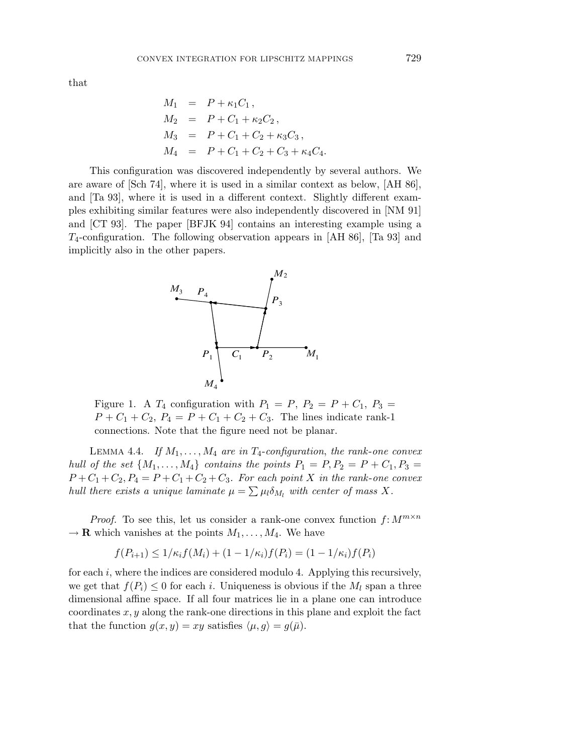that

$$
M_1 = P + \kappa_1 C_1,
$$
  
\n
$$
M_2 = P + C_1 + \kappa_2 C_2,
$$
  
\n
$$
M_3 = P + C_1 + C_2 + \kappa_3 C_3,
$$
  
\n
$$
M_4 = P + C_1 + C_2 + C_3 + \kappa_4 C_4.
$$

This configuration was discovered independently by several authors. We are aware of [Sch 74], where it is used in a similar context as below, [AH 86], and [Ta 93], where it is used in a different context. Slightly different examples exhibiting similar features were also independently discovered in [NM 91] and [CT 93]. The paper [BFJK 94] contains an interesting example using a *T*4-configuration. The following observation appears in [AH 86], [Ta 93] and implicitly also in the other papers.



Figure 1. A  $T_4$  configuration with  $P_1 = P$ ,  $P_2 = P + C_1$ ,  $P_3 =$  $P + C_1 + C_2$ ,  $P_4 = P + C_1 + C_2 + C_3$ . The lines indicate rank-1 connections. Note that the figure need not be planar.

LEMMA 4.4. If  $M_1, \ldots, M_4$  are in  $T_4$ -configuration, the rank-one convex hull of the set  $\{M_1, \ldots, M_4\}$  contains the points  $P_1 = P, P_2 = P + C_1, P_3 =$  $P + C_1 + C_2$ ,  $P_4 = P + C_1 + C_2 + C_3$ . For each point *X* in the rank-one convex hull there exists a unique laminate  $\mu = \sum \mu_l \delta_{M_l}$  with center of mass X.

*Proof.* To see this, let us consider a rank-one convex function  $f: M^{m \times n}$  $\rightarrow \mathbf{R}$  which vanishes at the points  $M_1, \ldots, M_4$ . We have

$$
f(P_{i+1}) \le 1/\kappa_i f(M_i) + (1 - 1/\kappa_i) f(P_i) = (1 - 1/\kappa_i) f(P_i)
$$

for each *i*, where the indices are considered modulo 4. Applying this recursively, we get that  $f(P_i) \leq 0$  for each *i*. Uniqueness is obvious if the  $M_l$  span a three dimensional affine space. If all four matrices lie in a plane one can introduce coordinates *x, y* along the rank-one directions in this plane and exploit the fact that the function  $g(x, y) = xy$  satisfies  $\langle \mu, g \rangle = g(\bar{\mu}).$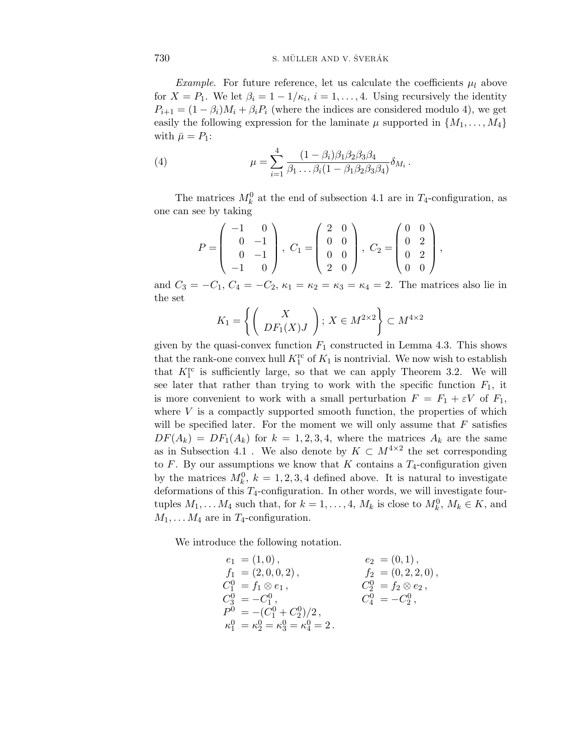*Example.* For future reference, let us calculate the coefficients  $\mu_l$  above for  $X = P_1$ . We let  $\beta_i = 1 - 1/\kappa_i$ ,  $i = 1, \ldots, 4$ . Using recursively the identity  $P_{i+1} = (1 - \beta_i)M_i + \beta_i P_i$  (where the indices are considered modulo 4), we get easily the following expression for the laminate  $\mu$  supported in  $\{M_1, \ldots, M_4\}$ with  $\bar{\mu} = P_1$ :

(4) 
$$
\mu = \sum_{i=1}^{4} \frac{(1 - \beta_i)\beta_1\beta_2\beta_3\beta_4}{\beta_1 \dots \beta_i (1 - \beta_1\beta_2\beta_3\beta_4)} \delta_{M_i}.
$$

The matrices  $M_k^0$  at the end of subsection 4.1 are in  $T_4$ -configuration, as one can see by taking

$$
P = \begin{pmatrix} -1 & 0 \\ 0 & -1 \\ 0 & -1 \\ -1 & 0 \end{pmatrix}, C_1 = \begin{pmatrix} 2 & 0 \\ 0 & 0 \\ 0 & 0 \\ 2 & 0 \end{pmatrix}, C_2 = \begin{pmatrix} 0 & 0 \\ 0 & 2 \\ 0 & 2 \\ 0 & 0 \end{pmatrix},
$$

and  $C_3 = -C_1, C_4 = -C_2, \kappa_1 = \kappa_2 = \kappa_3 = \kappa_4 = 2$ . The matrices also lie in the set

$$
K_1 = \left\{ \left( \begin{array}{c} X \\ DF_1(X)J \end{array} \right) ; X \in M^{2 \times 2} \right\} \subset M^{4 \times 2}
$$

given by the quasi-convex function  $F_1$  constructed in Lemma 4.3. This shows that the rank-one convex hull  $K_1^{\text{rc}}$  of  $K_1$  is nontrivial. We now wish to establish that  $K_1^{\text{rc}}$  is sufficiently large, so that we can apply Theorem 3.2. We will see later that rather than trying to work with the specific function  $F_1$ , it is more convenient to work with a small perturbation  $F = F_1 + \varepsilon V$  of  $F_1$ , where  $V$  is a compactly supported smooth function, the properties of which will be specified later. For the moment we will only assume that *F* satisfies  $DF(A_k) = DF_1(A_k)$  for  $k = 1, 2, 3, 4$ , where the matrices  $A_k$  are the same as in Subsection 4.1. We also denote by  $K \subset M^{4 \times 2}$  the set corresponding to  $F$ . By our assumptions we know that  $K$  contains a  $T_4$ -configuration given by the matrices  $M_k^0$ ,  $k = 1, 2, 3, 4$  defined above. It is natural to investigate deformations of this *T*4-configuration. In other words, we will investigate fourtuples  $M_1, \ldots, M_4$  such that, for  $k = 1, \ldots, 4$ ,  $M_k$  is close to  $M_k^0, M_k \in K$ , and  $M_1, \ldots M_4$  are in  $T_4$ -configuration.

We introduce the following notation.

$$
e_1 = (1,0), \t e_2 = (0,1), f_1 = (2,0,0,2), \t f_2 = (0,2,2,0), C_1^0 = f_1 \otimes e_1, \t C_2^0 = f_2 \otimes e_2, C_3^0 = -C_1^0, \t C_4^0 = -C_2^0, F^0 = -(C_1^0 + C_2^0)/2, \n\kappa_1^0 = \kappa_2^0 = \kappa_3^0 = \kappa_4^0 = 2.
$$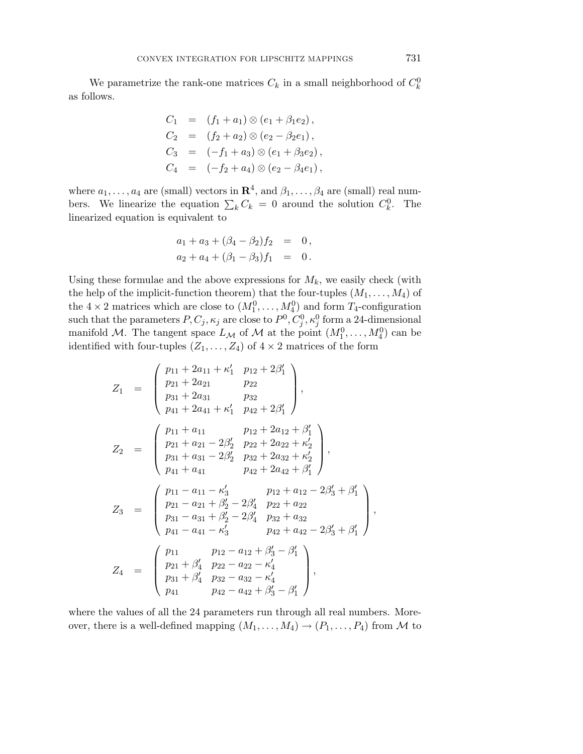We parametrize the rank-one matrices  $C_k$  in a small neighborhood of  $C_k^0$ as follows.

$$
C_1 = (f_1 + a_1) \otimes (e_1 + \beta_1 e_2),
$$
  
\n
$$
C_2 = (f_2 + a_2) \otimes (e_2 - \beta_2 e_1),
$$
  
\n
$$
C_3 = (-f_1 + a_3) \otimes (e_1 + \beta_3 e_2),
$$
  
\n
$$
C_4 = (-f_2 + a_4) \otimes (e_2 - \beta_4 e_1),
$$

where  $a_1, \ldots, a_4$  are (small) vectors in  $\mathbb{R}^4$ , and  $\beta_1, \ldots, \beta_4$  are (small) real numbers. We linearize the equation  $\sum_{k} C_k = 0$  around the solution  $C_k^0$ . The linearized equation is equivalent to

$$
a_1 + a_3 + (\beta_4 - \beta_2) f_2 = 0,
$$
  

$$
a_2 + a_4 + (\beta_1 - \beta_3) f_1 = 0.
$$

Using these formulae and the above expressions for  $M_k$ , we easily check (with the help of the implicit-function theorem) that the four-tuples  $(M_1, \ldots, M_4)$  of the  $4 \times 2$  matrices which are close to  $(M_1^0, \ldots, M_4^0)$  and form  $T_4$ -configuration such that the parameters  $P, C_j, \kappa_j$  are close to  $P^0, C_j^0, \kappa_j^0$  form a 24-dimensional manifold M. The tangent space  $L_M$  of M at the point  $(M_1^0, \ldots, M_4^0)$  can be identified with four-tuples  $(Z_1, \ldots, Z_4)$  of  $4 \times 2$  matrices of the form

$$
Z_1 = \begin{pmatrix} p_{11} + 2a_{11} + \kappa'_1 & p_{12} + 2\beta'_1 \\ p_{21} + 2a_{21} & p_{22} \\ p_{31} + 2a_{31} & p_{32} \\ p_{41} + 2a_{41} + \kappa'_1 & p_{42} + 2\beta'_1 \end{pmatrix},
$$
  
\n
$$
Z_2 = \begin{pmatrix} p_{11} + a_{11} & p_{12} + 2a_{12} + \beta'_1 \\ p_{21} + a_{21} - 2\beta'_2 & p_{22} + 2a_{22} + \kappa'_2 \\ p_{31} + a_{31} - 2\beta'_2 & p_{32} + 2a_{32} + \kappa'_2 \\ p_{41} + a_{41} & p_{42} + 2a_{42} + \beta'_1 \end{pmatrix},
$$
  
\n
$$
Z_3 = \begin{pmatrix} p_{11} - a_{11} - \kappa'_3 & p_{12} + a_{12} - 2\beta'_3 + \beta'_1 \\ p_{21} - a_{21} + \beta'_2 - 2\beta'_4 & p_{22} + a_{22} \\ p_{31} - a_{31} + \beta'_2 - 2\beta'_4 & p_{32} + a_{32} \\ p_{41} - a_{41} - \kappa'_3 & p_{42} + a_{42} - 2\beta'_3 + \beta'_1 \\ p_{41} & p_{42} - a_{22} - \kappa'_4 \end{pmatrix},
$$

where the values of all the 24 parameters run through all real numbers. Moreover, there is a well-defined mapping  $(M_1, \ldots, M_4) \rightarrow (P_1, \ldots, P_4)$  from M to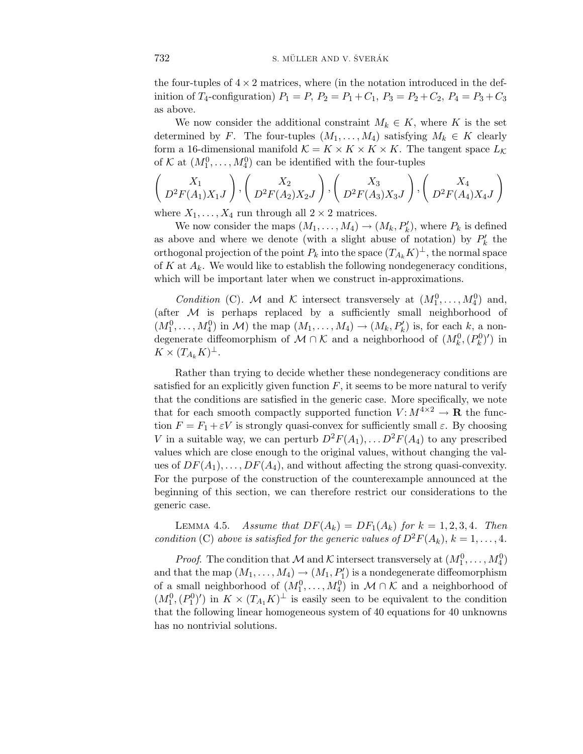the four-tuples of  $4 \times 2$  matrices, where (in the notation introduced in the definition of *T*<sub>4</sub>-configuration)  $P_1 = P$ ,  $P_2 = P_1 + C_1$ ,  $P_3 = P_2 + C_2$ ,  $P_4 = P_3 + C_3$ as above.

We now consider the additional constraint  $M_k \in K$ , where K is the set determined by *F*. The four-tuples  $(M_1, \ldots, M_4)$  satisfying  $M_k \in K$  clearly form a 16-dimensional manifold  $K = K \times K \times K \times K$ . The tangent space  $L_K$ of K at  $(M_1^0, \ldots, M_4^0)$  can be identified with the four-tuples

$$
\left(\begin{array}{c} X_1 \\ D^2F(A_1)X_1J \end{array}\right), \left(\begin{array}{c} X_2 \\ D^2F(A_2)X_2J \end{array}\right), \left(\begin{array}{c} X_3 \\ D^2F(A_3)X_3J \end{array}\right), \left(\begin{array}{c} X_4 \\ D^2F(A_4)X_4J \end{array}\right)
$$

where  $X_1, \ldots, X_4$  run through all  $2 \times 2$  matrices.

We now consider the maps  $(M_1, \ldots, M_4) \to (M_k, P'_k)$ , where  $P_k$  is defined as above and where we denote (with a slight abuse of notation) by  $P'_k$  the orthogonal projection of the point  $P_k$  into the space  $(T_{A_k}K)^{\perp}$ , the normal space of  $K$  at  $A_k$ . We would like to establish the following nondegeneracy conditions, which will be important later when we construct in-approximations.

*Condition* (C). M and K intersect transversely at  $(M_1^0, \ldots, M_4^0)$  and, (after  $M$  is perhaps replaced by a sufficiently small neighborhood of  $(M_1^0, \ldots, M_4^0)$  in M) the map  $(M_1, \ldots, M_4) \to (M_k, P'_k)$  is, for each *k*, a nondegenerate diffeomorphism of  $M \cap K$  and a neighborhood of  $(M_k^0, (P_k^0)')$  in  $K \times (T_{A_k}K)^{\perp}.$ 

Rather than trying to decide whether these nondegeneracy conditions are satisfied for an explicitly given function  $F$ , it seems to be more natural to verify that the conditions are satisfied in the generic case. More specifically, we note that for each smooth compactly supported function  $V: M^{4\times2} \to \mathbf{R}$  the function  $F = F_1 + \varepsilon V$  is strongly quasi-convex for sufficiently small  $\varepsilon$ . By choosing *V* in a suitable way, we can perturb  $D^2F(A_1), \ldots D^2F(A_4)$  to any prescribed values which are close enough to the original values, without changing the values of  $DF(A_1), \ldots, DF(A_4)$ , and without affecting the strong quasi-convexity. For the purpose of the construction of the counterexample announced at the beginning of this section, we can therefore restrict our considerations to the generic case.

LEMMA 4.5. Assume that  $DF(A_k) = DF_1(A_k)$  for  $k = 1, 2, 3, 4$ . Then condition (C) above is satisfied for the generic values of  $D^2F(A_k)$ ,  $k = 1, \ldots, 4$ .

*Proof.* The condition that M and K intersect transversely at  $(M_1^0, \ldots, M_4^0)$ and that the map  $(M_1, \ldots, M_4) \to (M_1, P'_1)$  is a nondegenerate diffeomorphism of a small neighborhood of  $(M_1^0, \ldots, M_4^0)$  in  $\mathcal{M} \cap \mathcal{K}$  and a neighborhood of  $(M_1^0, (P_1^0)')$  in  $K \times (T_{A_1}K)^{\perp}$  is easily seen to be equivalent to the condition that the following linear homogeneous system of 40 equations for 40 unknowns has no nontrivial solutions.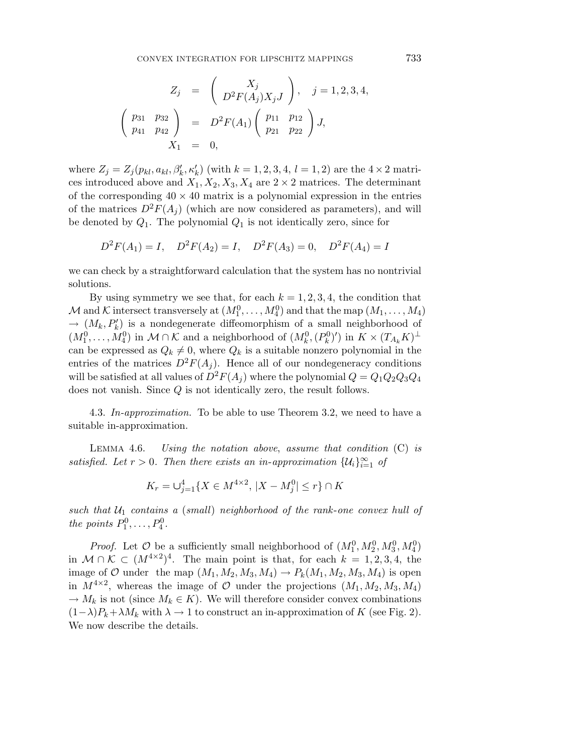CONVEX INTEGRATION FOR LIPSCHITZ MAPPINGS 733

$$
Z_j = \begin{pmatrix} X_j \\ D^2 F(A_j) X_j J \end{pmatrix}, \quad j = 1, 2, 3, 4,
$$
  

$$
\begin{pmatrix} p_{31} & p_{32} \\ p_{41} & p_{42} \end{pmatrix} = D^2 F(A_1) \begin{pmatrix} p_{11} & p_{12} \\ p_{21} & p_{22} \end{pmatrix} J,
$$
  

$$
X_1 = 0,
$$

where  $Z_j = Z_j(p_{kl}, a_{kl}, \beta'_k, \kappa'_k)$  (with  $k = 1, 2, 3, 4, l = 1, 2$ ) are the  $4 \times 2$  matrices introduced above and  $X_1, X_2, X_3, X_4$  are  $2 \times 2$  matrices. The determinant of the corresponding  $40 \times 40$  matrix is a polynomial expression in the entries of the matrices  $D^2F(A_i)$  (which are now considered as parameters), and will be denoted by  $Q_1$ . The polynomial  $Q_1$  is not identically zero, since for

$$
D^2F(A_1) = I
$$
,  $D^2F(A_2) = I$ ,  $D^2F(A_3) = 0$ ,  $D^2F(A_4) = I$ 

we can check by a straightforward calculation that the system has no nontrivial solutions.

By using symmetry we see that, for each  $k = 1, 2, 3, 4$ , the condition that  $\mathcal{M}$  and  $\mathcal{K}$  intersect transversely at  $(M_1^0, \ldots, M_4^0)$  and that the map  $(M_1, \ldots, M_4)$  $\rightarrow$   $(M_k, P'_k)$  is a nondegenerate diffeomorphism of a small neighborhood of  $(M_1^0, \ldots, M_4^0)$  in  $M \cap K$  and a neighborhood of  $(M_k^0, (P_k^0)')$  in  $K \times (T_{A_k}K)^{\perp}$ can be expressed as  $Q_k \neq 0$ , where  $Q_k$  is a suitable nonzero polynomial in the entries of the matrices  $D^2F(A_i)$ . Hence all of our nondegeneracy conditions will be satisfied at all values of  $D^2F(A_j)$  where the polynomial  $Q = Q_1Q_2Q_3Q_4$ does not vanish. Since *Q* is not identically zero, the result follows.

4.3. In-approximation. To be able to use Theorem 3*.*2, we need to have a suitable in-approximation.

Lemma 4*.*6. Using the notation above, assume that condition (C) is satisfied. Let  $r > 0$ . Then there exists an in-approximation  $\{\mathcal{U}_i\}_{i=1}^{\infty}$  of

$$
K_r = \bigcup_{j=1}^4 \{ X \in M^{4 \times 2}, \, |X - M_j^0| \le r \} \cap K
$$

such that  $U_1$  contains a (small) neighborhood of the rank-one convex hull of *the points*  $P_1^0, \ldots, P_4^0$ .

*Proof.* Let  $\mathcal{O}$  be a sufficiently small neighborhood of  $(M_1^0, M_2^0, M_3^0, M_4^0)$ in  $M ∩ K ⊂ (M^{4×2})^4$ . The main point is that, for each  $k = 1, 2, 3, 4$ , the image of  $\mathcal{O}$  under the map  $(M_1, M_2, M_3, M_4) \rightarrow P_k(M_1, M_2, M_3, M_4)$  is open in  $M^{4\times2}$ , whereas the image of O under the projections  $(M_1, M_2, M_3, M_4)$  $\rightarrow$  *M*<sub>k</sub> is not (since *M*<sub>k</sub> ∈ *K*). We will therefore consider convex combinations  $(1-\lambda)P_k+\lambda M_k$  with  $\lambda \to 1$  to construct an in-approximation of *K* (see Fig. 2). We now describe the details.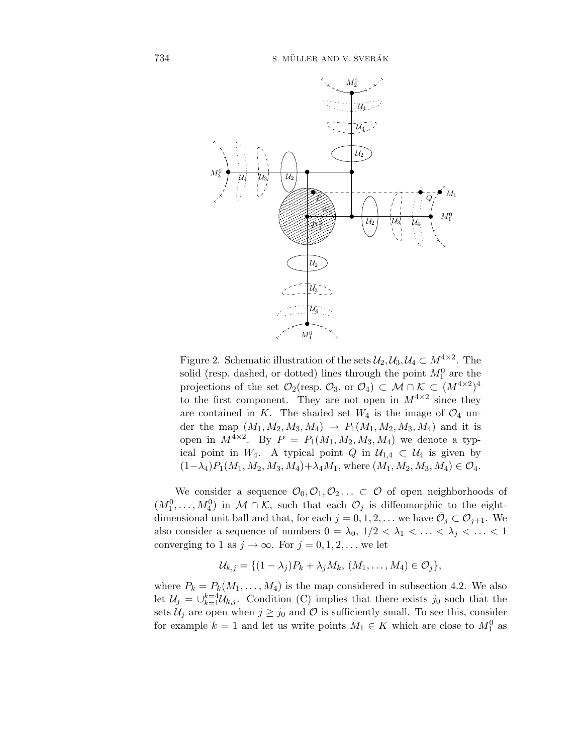

Figure 2. Schematic illustration of the sets  $\mathcal{U}_2, \mathcal{U}_3, \mathcal{U}_4 \subset M^{4 \times 2}$ . The solid (resp. dashed, or dotted) lines through the point  $M_1^0$  are the projections of the set  $\mathcal{O}_2$ (resp.  $\mathcal{O}_3$ , or  $\mathcal{O}_4$ ) ⊂  $\mathcal{M} \cap \mathcal{K} \subset (M^{4 \times 2})^4$ to the first component. They are not open in  $M^{4\times 2}$  since they are contained in *K*. The shaded set  $W_4$  is the image of  $\mathcal{O}_4$  under the map  $(M_1, M_2, M_3, M_4) \rightarrow P_1(M_1, M_2, M_3, M_4)$  and it is open in  $M^{4\times 2}$ . By  $P = P_1(M_1, M_2, M_3, M_4)$  we denote a typical point in  $W_4$ . A typical point  $Q$  in  $\mathcal{U}_{1,4} \subset \mathcal{U}_4$  is given by  $(1−\lambda_4)P_1(M_1, M_2, M_3, M_4)+\lambda_4M_1$ , where  $(M_1, M_2, M_3, M_4) \in \mathcal{O}_4$ .

We consider a sequence  $\mathcal{O}_0, \mathcal{O}_1, \mathcal{O}_2, \ldots \subset \mathcal{O}$  of open neighborhoods of  $(M_1^0, \ldots, M_4^0)$  in  $M \cap \mathcal{K}$ , such that each  $\mathcal{O}_j$  is diffeomorphic to the eightdimensional unit ball and that, for each  $j = 0, 1, 2, \ldots$  we have  $\overline{\mathcal{O}}_j \subset \mathcal{O}_{j+1}$ . We also consider a sequence of numbers  $0 = \lambda_0, 1/2 < \lambda_1 < \ldots < \lambda_j < \ldots < 1$ converging to 1 as  $j \to \infty$ . For  $j = 0, 1, 2, \ldots$  we let

$$
\mathcal{U}_{k,j} = \{ (1 - \lambda_j)P_k + \lambda_j M_k, (M_1, \ldots, M_4) \in \mathcal{O}_j \},
$$

where  $P_k = P_k(M_1, \ldots, M_4)$  is the map considered in subsection 4.2. We also let  $\mathcal{U}_j = \bigcup_{k=1}^{k=4} \mathcal{U}_{k,j}$ . Condition (C) implies that there exists  $j_0$  such that the sets  $\mathcal{U}_j$  are open when  $j \geq j_0$  and  $\mathcal O$  is sufficiently small. To see this, consider for example  $k = 1$  and let us write points  $M_1 \in K$  which are close to  $M_1^0$  as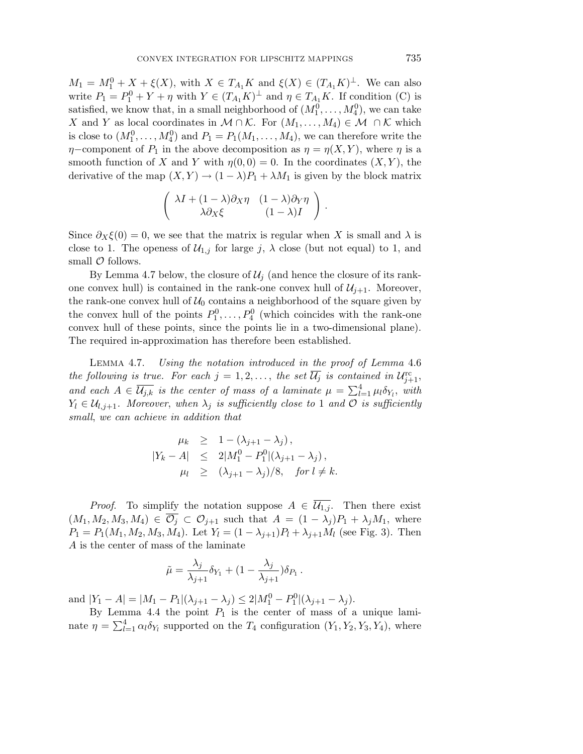$M_1 = M_1^0 + X + \xi(X)$ , with  $X \in T_{A_1}K$  and  $\xi(X) \in (T_{A_1}K)^{\perp}$ . We can also write  $P_1 = P_1^0 + Y + \eta$  with  $Y \in (T_{A_1}K)^{\perp}$  and  $\eta \in T_{A_1}K$ . If condition (C) is satisfied, we know that, in a small neighborhood of  $(M_1^0, \ldots, M_4^0)$ , we can take *X* and *Y* as local coordinates in  $M \cap K$ . For  $(M_1, \ldots, M_4) \in M \cap K$  which is close to  $(M_1^0, \ldots, M_4^0)$  and  $P_1 = P_1(M_1, \ldots, M_4)$ , we can therefore write the *η*−component of  $P_1$  in the above decomposition as  $\eta = \eta(X, Y)$ , where  $\eta$  is a smooth function of *X* and *Y* with  $\eta(0,0) = 0$ . In the coordinates  $(X,Y)$ , the derivative of the map  $(X, Y) \to (1 - \lambda)P_1 + \lambda M_1$  is given by the block matrix

$$
\begin{pmatrix}\n\lambda I + (1 - \lambda)\partial_X \eta & (1 - \lambda)\partial_Y \eta \\
\lambda \partial_X \xi & (1 - \lambda)I\n\end{pmatrix}.
$$

Since  $\partial_X \xi(0) = 0$ , we see that the matrix is regular when X is small and  $\lambda$  is close to 1. The openess of  $\mathcal{U}_{1,j}$  for large *j*,  $\lambda$  close (but not equal) to 1, and small  $\mathcal O$  follows.

By Lemma 4.7 below, the closure of  $\mathcal{U}_i$  (and hence the closure of its rankone convex hull) is contained in the rank-one convex hull of  $\mathcal{U}_{i+1}$ . Moreover, the rank-one convex hull of  $U_0$  contains a neighborhood of the square given by the convex hull of the points  $P_1^0, \ldots, P_4^0$  (which coincides with the rank-one convex hull of these points, since the points lie in a two-dimensional plane). The required in-approximation has therefore been established.

Lemma 4*.*7. Using the notation introduced in the proof of Lemma 4*.*6 the following is true. For each  $j = 1, 2, \ldots$ , the set  $\overline{\mathcal{U}_j}$  is contained in  $\mathcal{U}_{j+1}^{\text{rc}}$ , and each  $A \in \overline{\mathcal{U}_{j,k}}$  is the center of mass of a laminate  $\mu = \sum_{l=1}^{4} \mu_l \delta_{Y_l}$ , with  $Y_l \in \mathcal{U}_{l,j+1}$ . Moreover, when  $\lambda_j$  is sufficiently close to 1 and  $\mathcal O$  is sufficiently small, we can achieve in addition that

$$
\begin{array}{rcl}\n\mu_k & \geq & 1 - (\lambda_{j+1} - \lambda_j), \\
|Y_k - A| & \leq & 2|M_1^0 - P_1^0|(\lambda_{j+1} - \lambda_j), \\
\mu_l & \geq & (\lambda_{j+1} - \lambda_j)/8, \quad \text{for } l \neq k.\n\end{array}
$$

*Proof.* To simplify the notation suppose  $A \in \overline{\mathcal{U}_{1,j}}$ . Then there exist  $(M_1, M_2, M_3, M_4) \in \overline{\mathcal{O}_j} \subset \mathcal{O}_{j+1}$  such that  $A = (1 - \lambda_j)P_1 + \lambda_j M_1$ , where  $P_1 = P_1(M_1, M_2, M_3, M_4)$ . Let  $Y_l = (1 - \lambda_{j+1})P_l + \lambda_{j+1}M_l$  (see Fig. 3). Then *A* is the center of mass of the laminate

$$
\tilde{\mu} = \frac{\lambda_j}{\lambda_{j+1}} \delta_{Y_1} + (1 - \frac{\lambda_j}{\lambda_{j+1}}) \delta_{P_1}.
$$

and  $|Y_1 - A| = |M_1 - P_1|(\lambda_{j+1} - \lambda_j) \leq 2|M_1^0 - P_1^0|(\lambda_{j+1} - \lambda_j).$ 

By Lemma 4.4 the point  $P_1$  is the center of mass of a unique laminate  $\eta = \sum_{l=1}^{4} \alpha_l \delta_{Y_l}$  supported on the  $T_4$  configuration  $(Y_1, Y_2, Y_3, Y_4)$ , where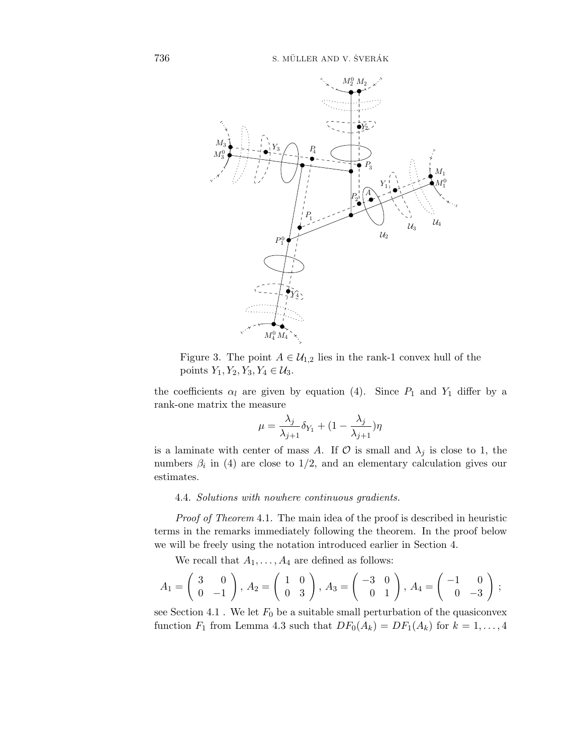

Figure 3. The point  $A \in U_{1,2}$  lies in the rank-1 convex hull of the *points Y*<sub>1</sub>*, Y*<sub>2</sub>*, Y*<sub>3</sub>*, Y*<sub>4</sub> ∈  $U_3$ *.* 

the coefficients  $\alpha_l$  are given by equation (4). Since  $P_1$  and  $Y_1$  differ by a rank-one matrix the measure

$$
\mu = \frac{\lambda_j}{\lambda_{j+1}} \delta_{Y_1} + (1 - \frac{\lambda_j}{\lambda_{j+1}}) \eta
$$

is a laminate with center of mass A. If  $\mathcal O$  is small and  $\lambda_j$  is close to 1, the numbers  $\beta_i$  in (4) are close to  $1/2$ , and an elementary calculation gives our estimates.

### 4.4. Solutions with nowhere continuous gradients.

Proof of Theorem 4.1. The main idea of the proof is described in heuristic terms in the remarks immediately following the theorem. In the proof below we will be freely using the notation introduced earlier in Section 4.

We recall that  $A_1, \ldots, A_4$  are defined as follows:

$$
A_1 = \begin{pmatrix} 3 & 0 \\ 0 & -1 \end{pmatrix}, A_2 = \begin{pmatrix} 1 & 0 \\ 0 & 3 \end{pmatrix}, A_3 = \begin{pmatrix} -3 & 0 \\ 0 & 1 \end{pmatrix}, A_4 = \begin{pmatrix} -1 & 0 \\ 0 & -3 \end{pmatrix};
$$

see Section 4.1. We let  $F_0$  be a suitable small perturbation of the quasiconvex function  $F_1$  from Lemma 4.3 such that  $DF_0(A_k) = DF_1(A_k)$  for  $k = 1, \ldots, 4$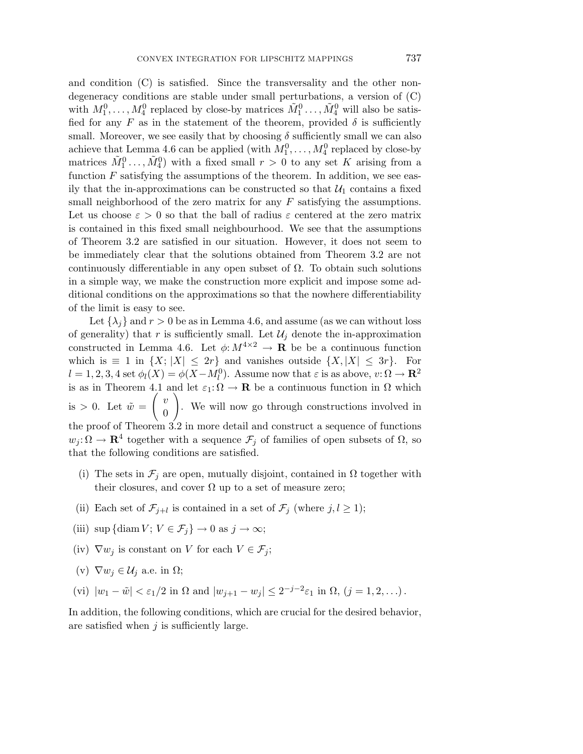and condition (C) is satisfied. Since the transversality and the other nondegeneracy conditions are stable under small perturbations, a version of (C) with  $M_1^0, \ldots, M_4^0$  replaced by close-by matrices  $\tilde{M}_1^0, \ldots, \tilde{M}_4^0$  will also be satisfied for any  $F$  as in the statement of the theorem, provided  $\delta$  is sufficiently small. Moreover, we see easily that by choosing  $\delta$  sufficiently small we can also achieve that Lemma 4.6 can be applied (with  $M_1^0, \ldots, M_4^0$  replaced by close-by matrices  $\tilde{M}_1^0$ , ...,  $\tilde{M}_4^0$  with a fixed small  $r > 0$  to any set K arising from a function *F* satisfying the assumptions of the theorem. In addition, we see easily that the in-approximations can be constructed so that  $\mathcal{U}_1$  contains a fixed small neighborhood of the zero matrix for any *F* satisfying the assumptions. Let us choose  $\varepsilon > 0$  so that the ball of radius  $\varepsilon$  centered at the zero matrix is contained in this fixed small neighbourhood. We see that the assumptions of Theorem 3*.*2 are satisfied in our situation. However, it does not seem to be immediately clear that the solutions obtained from Theorem 3*.*2 are not continuously differentiable in any open subset of  $\Omega$ . To obtain such solutions in a simple way, we make the construction more explicit and impose some additional conditions on the approximations so that the nowhere differentiability of the limit is easy to see.

Let  $\{\lambda_i\}$  and  $r > 0$  be as in Lemma 4.6, and assume (as we can without loss of generality) that  $r$  is sufficiently small. Let  $\mathcal{U}_j$  denote the in-approximation constructed in Lemma 4.6. Let  $\phi: M^{4\times 2} \to \mathbf{R}$  be be a continuous function which is  $\equiv 1$  in  $\{X; |X| \leq 2r\}$  and vanishes outside  $\{X, |X| \leq 3r\}$ . For  $l = 1, 2, 3, 4$  set  $\phi_l(X) = \phi(X - M_l^0)$ . Assume now that  $\varepsilon$  is as above,  $v: \Omega \to \mathbb{R}^2$ is as in Theorem 4.1 and let  $\varepsilon_1: \Omega \to \mathbf{R}$  be a continuous function in  $\Omega$  which is  $> 0$ . Let  $\tilde{w} =$  $\int v$ 0  $\setminus$ . We will now go through constructions involved in the proof of Theorem 3*.*2 in more detail and construct a sequence of functions  $w_j : \Omega \to \mathbf{R}^4$  together with a sequence  $\mathcal{F}_j$  of families of open subsets of  $\Omega$ , so that the following conditions are satisfied.

- (i) The sets in  $\mathcal{F}_i$  are open, mutually disjoint, contained in  $\Omega$  together with their closures, and cover  $\Omega$  up to a set of measure zero;
- (ii) Each set of  $\mathcal{F}_{j+l}$  is contained in a set of  $\mathcal{F}_j$  (where  $j, l \geq 1$ );
- (iii) sup {diam  $V$ ;  $V \in \mathcal{F}_i$ }  $\rightarrow 0$  as  $j \rightarrow \infty$ ;
- (iv)  $\nabla w_j$  is constant on *V* for each  $V \in \mathcal{F}_j$ ;
- (v)  $\nabla w_j \in \mathcal{U}_j$  a.e. in  $\Omega$ ;
- (vi)  $|w_1 \tilde{w}| < \varepsilon_1/2$  in  $\Omega$  and  $|w_{j+1} w_j| \leq 2^{-j-2}\varepsilon_1$  in  $\Omega$ ,  $(j = 1, 2, ...)$ .

In addition, the following conditions, which are crucial for the desired behavior, are satisfied when *j* is sufficiently large.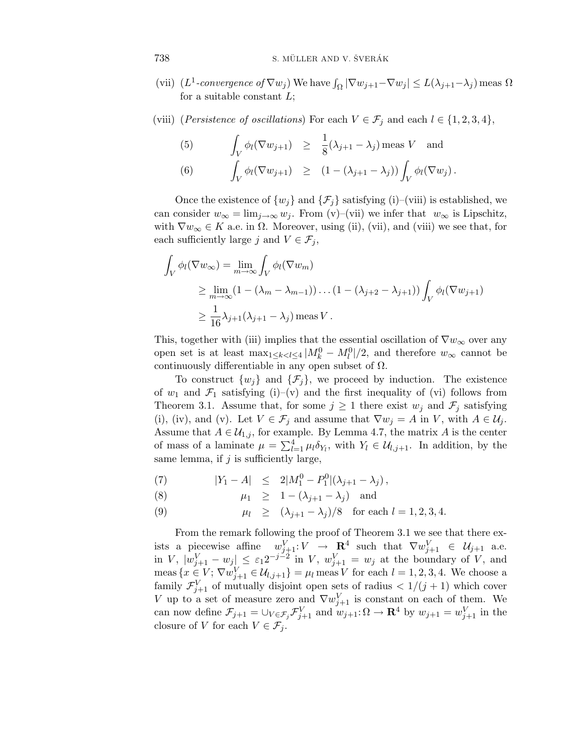- (vii)  $(L^1\text{-}convergence of \nabla w_j)$  We have  $\int_{\Omega} |\nabla w_{j+1} \nabla w_j| \leq L(\lambda_{j+1} \lambda_j)$  meas  $\Omega$ for a suitable constant *L*;
- (viii) (*Persistence of oscillations*) For each  $V \in \mathcal{F}_j$  and each  $l \in \{1, 2, 3, 4\}$ ,

(5) 
$$
\int_{V} \phi_{l}(\nabla w_{j+1}) \geq \frac{1}{8}(\lambda_{j+1} - \lambda_{j}) \text{ meas } V \text{ and}
$$
  
(6) 
$$
\int_{V} \phi_{l}(\nabla w_{j+1}) \geq (1 - (\lambda_{j+1} - \lambda_{j})) \int_{V} \phi_{l}(\nabla w_{j}).
$$

Once the existence of  $\{w_i\}$  and  $\{\mathcal{F}_i\}$  satisfying (i)–(viii) is established, we can consider  $w_{\infty} = \lim_{j \to \infty} w_j$ . From (v)–(vii) we infer that  $w_{\infty}$  is Lipschitz, with  $\nabla w_\infty \in K$  a.e. in  $\Omega$ . Moreover, using (ii), (vii), and (viii) we see that, for each sufficiently large *j* and  $V \in \mathcal{F}_j$ ,

$$
\int_{V} \phi_{l}(\nabla w_{\infty}) = \lim_{m \to \infty} \int_{V} \phi_{l}(\nabla w_{m})
$$
\n
$$
\geq \lim_{m \to \infty} (1 - (\lambda_{m} - \lambda_{m-1})) \dots (1 - (\lambda_{j+2} - \lambda_{j+1})) \int_{V} \phi_{l}(\nabla w_{j+1})
$$
\n
$$
\geq \frac{1}{16} \lambda_{j+1} (\lambda_{j+1} - \lambda_{j}) \operatorname{meas} V.
$$

This, together with (iii) implies that the essential oscillation of  $\nabla w_{\infty}$  over any open set is at least  $\max_{1 \leq k < l \leq 4} |M_k^0 - M_l^0|/2$ , and therefore  $w_\infty$  cannot be continuously differentiable in any open subset of  $\Omega$ .

To construct  $\{w_i\}$  and  $\{\mathcal{F}_i\}$ , we proceed by induction. The existence of  $w_1$  and  $\mathcal{F}_1$  satisfying (i)–(v) and the first inequality of (vi) follows from Theorem 3.1. Assume that, for some  $j \geq 1$  there exist  $w_j$  and  $\mathcal{F}_j$  satisfying (i), (iv), and (v). Let  $V \in \mathcal{F}_j$  and assume that  $\nabla w_j = A$  in *V*, with  $A \in \mathcal{U}_j$ . Assume that  $A \in \mathcal{U}_{1,j}$ , for example. By Lemma 4.7, the matrix A is the center of mass of a laminate  $\mu = \sum_{l=1}^{4} \mu_l \delta_{Y_l}$ , with  $Y_l \in \mathcal{U}_{l,j+1}$ . In addition, by the same lemma, if *j* is sufficiently large,

(7) 
$$
|Y_1 - A| \leq 2|M_1^0 - P_1^0|(\lambda_{j+1} - \lambda_j),
$$

(8) 
$$
\mu_1 \geq 1 - (\lambda_{j+1} - \lambda_j)
$$
 and

(9) 
$$
\mu_l \ge (\lambda_{j+1} - \lambda_j)/8
$$
 for each  $l = 1, 2, 3, 4$ .

From the remark following the proof of Theorem 3*.*1 we see that there exists a piecewise affine  $w_{j+1}^V : V \to \mathbf{R}^4$  such that  $\nabla w_{j+1}^V \in \mathcal{U}_{j+1}$  a.e.  $\lim V, |w_{j+1}^V - w_j| \leq \varepsilon_1 2^{-j-2}$  in *V*,  $w_{j+1}^V = w_j$  at the boundary of *V*, and  $\text{meas } \{x \in V; \nabla w_{j+1}^V \in \mathcal{U}_{l,j+1}\} = \mu_l \text{ meas } V \text{ for each } l = 1, 2, 3, 4.$  We choose a family  $\mathcal{F}_{j+1}^V$  of mutually disjoint open sets of radius  $\langle 1/(j+1) \rangle$  which cover *V* up to a set of measure zero and  $\nabla w_{j+1}^V$  is constant on each of them. We can now define  $\mathcal{F}_{j+1} = \bigcup_{V \in \mathcal{F}_j} \mathcal{F}_{j+1}^V$  and  $w_{j+1} : \Omega \to \mathbf{R}^4$  by  $w_{j+1} = w_{j+1}^V$  in the closure of *V* for each  $V \in \mathcal{F}_j$ .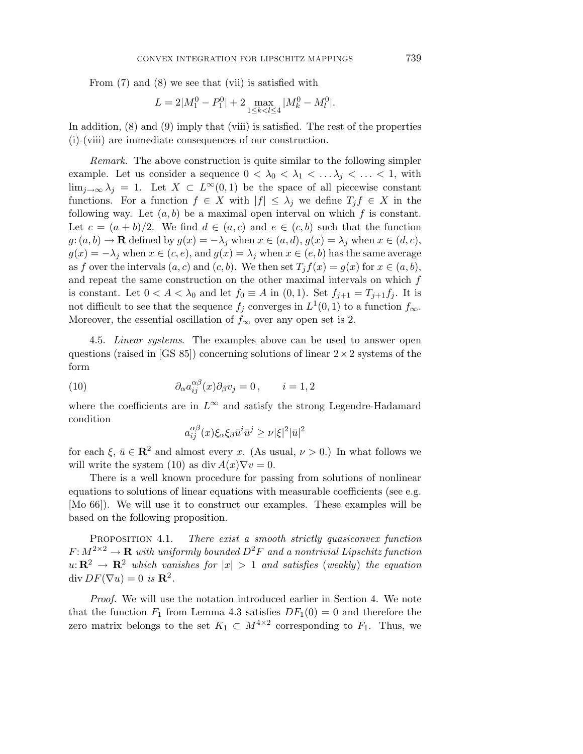From (7) and (8) we see that (vii) is satisfied with

$$
L = 2|M_1^0 - P_1^0| + 2 \max_{1 \le k < l \le 4} |M_k^0 - M_l^0|.
$$

In addition, (8) and (9) imply that (viii) is satisfied. The rest of the properties (i)-(viii) are immediate consequences of our construction.

Remark. The above construction is quite similar to the following simpler example. Let us consider a sequence  $0 < \lambda_0 < \lambda_1 < \ldots \lambda_j < \ldots < 1$ , with lim<sub>j→∞</sub>  $\lambda_j = 1$ . Let  $X \subset L^{\infty}(0,1)$  be the space of all piecewise constant functions. For a function  $f \in X$  with  $|f| \leq \lambda_j$  we define  $T_j f \in X$  in the following way. Let  $(a, b)$  be a maximal open interval on which  $f$  is constant. Let  $c = (a + b)/2$ . We find  $d \in (a, c)$  and  $e \in (c, b)$  such that the function  $g: (a, b) \to \mathbf{R}$  defined by  $g(x) = -\lambda_j$  when  $x \in (a, d)$ ,  $g(x) = \lambda_j$  when  $x \in (d, c)$ ,  $g(x) = -\lambda_j$  when  $x \in (c, e)$ , and  $g(x) = \lambda_j$  when  $x \in (e, b)$  has the same average as *f* over the intervals  $(a, c)$  and  $(c, b)$ . We then set  $T_i f(x) = g(x)$  for  $x \in (a, b)$ , and repeat the same construction on the other maximal intervals on which *f* is constant. Let  $0 < A < \lambda_0$  and let  $f_0 \equiv A$  in  $(0,1)$ . Set  $f_{i+1} = T_{i+1}f_i$ . It is not difficult to see that the sequence  $f_j$  converges in  $L^1(0,1)$  to a function  $f_{\infty}$ . Moreover, the essential oscillation of  $f_{\infty}$  over any open set is 2.

4.5. Linear systems. The examples above can be used to answer open questions (raised in [GS 85]) concerning solutions of linear  $2\times 2$  systems of the form

(10) 
$$
\partial_{\alpha} a_{ij}^{\alpha\beta}(x) \partial_{\beta} v_j = 0, \qquad i = 1, 2
$$

where the coefficients are in  $L^{\infty}$  and satisfy the strong Legendre-Hadamard condition

$$
a_{ij}^{\alpha\beta}(x)\xi_{\alpha}\xi_{\beta}\bar{u}^i\bar{u}^j \geq \nu |\xi|^2 |\bar{u}|^2
$$

for each  $\xi$ ,  $\bar{u} \in \mathbb{R}^2$  and almost every *x*. (As usual,  $\nu > 0$ .) In what follows we will write the system (10) as div  $A(x)\nabla v = 0$ .

There is a well known procedure for passing from solutions of nonlinear equations to solutions of linear equations with measurable coefficients (see e.g. [Mo 66]). We will use it to construct our examples. These examples will be based on the following proposition.

PROPOSITION 4.1. There exist a smooth strictly quasiconvex function  $F: M^{2\times 2} \to \mathbf{R}$  with uniformly bounded  $D^2F$  and a nontrivial Lipschitz function  $u: \mathbb{R}^2 \to \mathbb{R}^2$  which vanishes for  $|x| > 1$  and satisfies (weakly) the equation  $\operatorname{div} DF(\nabla u) = 0$  is  $\mathbb{R}^2$ .

Proof. We will use the notation introduced earlier in Section 4. We note that the function  $F_1$  from Lemma 4.3 satisfies  $DF_1(0) = 0$  and therefore the zero matrix belongs to the set  $K_1 \subset M^{4 \times 2}$  corresponding to  $F_1$ . Thus, we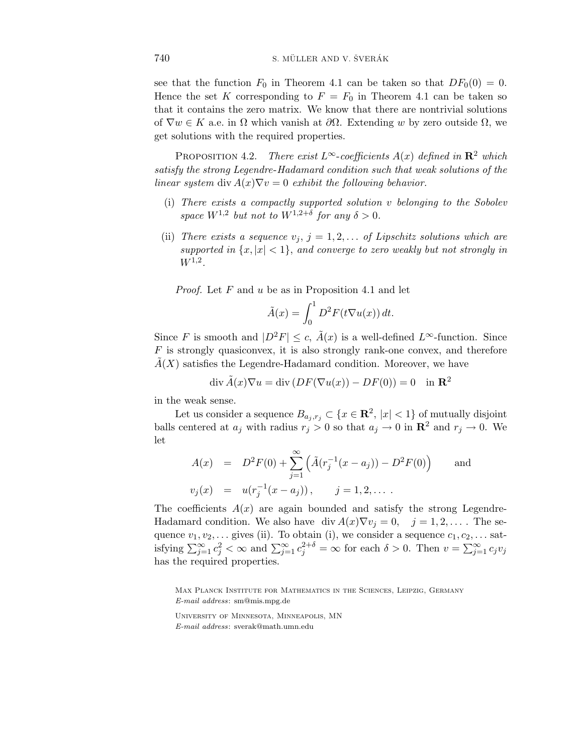see that the function  $F_0$  in Theorem 4.1 can be taken so that  $DF_0(0) = 0$ . Hence the set *K* corresponding to  $F = F_0$  in Theorem 4.1 can be taken so that it contains the zero matrix. We know that there are nontrivial solutions of  $\nabla w \in K$  a.e. in  $\Omega$  which vanish at  $\partial \Omega$ . Extending w by zero outside  $\Omega$ , we get solutions with the required properties.

PROPOSITION 4.2. There exist  $L^{\infty}$ -coefficients  $A(x)$  defined in  $\mathbb{R}^2$  which satisfy the strong Legendre-Hadamard condition such that weak solutions of the linear system div  $A(x)\nabla v = 0$  exhibit the following behavior.

- (i) There exists a compactly supported solution *v* belonging to the Sobolev space  $W^{1,2}$  but not to  $W^{1,2+\delta}$  for any  $\delta > 0$ .
- (ii) There exists a sequence  $v_j$ ,  $j = 1, 2, \ldots$  of Lipschitz solutions which are supported in  $\{x, |x| < 1\}$ , and converge to zero weakly but not strongly in *W*1,2.

Proof. Let *F* and *u* be as in Proposition 4*.*1 and let

$$
\tilde{A}(x) = \int_0^1 D^2 F(t \nabla u(x)) dt.
$$

Since *F* is smooth and  $|D^2F| \leq c$ ,  $\tilde{A}(x)$  is a well-defined  $L^{\infty}$ -function. Since *F* is strongly quasiconvex, it is also strongly rank-one convex, and therefore  $A(X)$  satisfies the Legendre-Hadamard condition. Moreover, we have

$$
\operatorname{div}\tilde{A}(x)\nabla u = \operatorname{div}\left(DF(\nabla u(x)) - DF(0)\right) = 0 \quad \text{in } \mathbb{R}^2
$$

in the weak sense.

Let us consider a sequence  $B_{a_j, r_j} \subset \{x \in \mathbb{R}^2, |x| < 1\}$  of mutually disjoint balls centered at  $a_j$  with radius  $r_j > 0$  so that  $a_j \to 0$  in  $\mathbb{R}^2$  and  $r_j \to 0$ . We let

$$
A(x) = D^2 F(0) + \sum_{j=1}^{\infty} \left( \tilde{A}(r_j^{-1}(x - a_j)) - D^2 F(0) \right) \quad \text{and}
$$
  

$$
v_j(x) = u(r_j^{-1}(x - a_j)), \quad j = 1, 2, ....
$$

The coefficients  $A(x)$  are again bounded and satisfy the strong Legendre-Hadamard condition. We also have div  $A(x)\nabla v_j = 0$ ,  $j = 1, 2, \ldots$ . The sequence  $v_1, v_2, \ldots$  gives (ii). To obtain (i), we consider a sequence  $c_1, c_2, \ldots$  satisfying  $\sum_{j=1}^{\infty} c_j^2 < \infty$  and  $\sum_{j=1}^{\infty} c_j^{2+\delta} = \infty$  for each  $\delta > 0$ . Then  $v = \sum_{j=1}^{\infty} c_j v_j$ has the required properties.

Max Planck Institute for Mathematics in the Sciences, Leipzig, Germany *E-mail address*: sm@mis.mpg.de

University of Minnesota, Minneapolis, MN *E-mail address*: sverak@math.umn.edu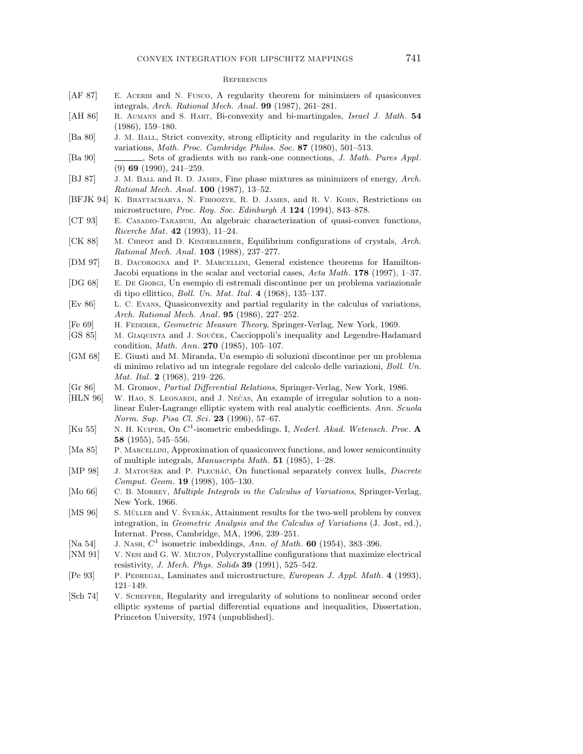#### **REFERENCES**

- [AF 87] E. ACERBI and N. Fusco, A regularity theorem for minimizers of quasiconvex integrals, *Arch. Rational Mech. Anal*. **99** (1987), 261–281.
- [AH 86] R. Aumann and S. Hart, Bi-convexity and bi-martingales, *Israel J. Math*. **54** (1986), 159–180.
- [Ba 80] J. M. Ball, Strict convexity, strong ellipticity and regularity in the calculus of variations, *Math. Proc. Cambridge Philos. Soc*. **87** (1980), 501–513.
- [Ba 90] , Sets of gradients with no rank-one connections, *J. Math. Pures Appl*. (9) **69** (1990), 241–259.
- [BJ 87] J. M. Ball and R. D. James, Fine phase mixtures as minimizers of energy, *Arch. Rational Mech. Anal*. **100** (1987), 13–52.
- [BFJK 94] K. Bhattacharya, N. Firoozye, R. D. James, and R. V. Kohn, Restrictions on microstructure, *Proc. Roy. Soc. Edinburgh A* **124** (1994), 843–878.
- [CT 93] E. CASADIO-TARABUSI, An algebraic characterization of quasi-convex functions, *Ricerche Mat*. **42** (1993), 11–24.
- [CK 88] M. CHIPOT and D. KINDERLEHRER, Equilibrium configurations of crystals, *Arch. Rational Mech. Anal*. **103** (1988), 237–277.
- [DM 97] B. Dacorogna and P. Marcellini, General existence theorems for Hamilton-Jacobi equations in the scalar and vectorial cases, *Acta Math*. **178** (1997), 1–37.
- [DG 68] E. De Giorgi, Un esempio di estremali discontinue per un problema variazionale di tipo ellittico, *Boll. Un. Mat. Ital*. **4** (1968), 135–137.
- [Ev 86] L. C. Evans, Quasiconvexity and partial regularity in the calculus of variations, *Arch. Rational Mech. Anal*. **95** (1986), 227–252.
- [Fe 69] H. Federer, *Geometric Measure Theory*, Springer-Verlag, New York, 1969.
- [GS 85] M. GIAQUINTA and J. SOUČEK, Caccioppoli's inequality and Legendre-Hadamard condition, *Math. Ann*. **270** (1985), 105–107.
- [GM 68] E. Giusti and M. Miranda, Un esempio di soluzioni discontinue per un problema di minimo relativo ad un integrale regolare del calcolo delle variazioni, *Boll. Un. Mat. Ital*. **2** (1968), 219–226.
- [Gr 86] M. Gromov, *Partial Differential Relations*, Springer-Verlag, New York, 1986.
- [HLN 96] W. HAO, S. LEONARDI, and J. NEČAS, An example of irregular solution to a nonlinear Euler-Lagrange elliptic system with real analytic coefficients. *Ann. Scuola Norm. Sup. Pisa Cl. Sci*. **23** (1996), 57–67.
- [Ku 55] N. H. Kuiper, On *C*<sup>1</sup>-isometric embeddings. I, *Nederl. Akad. Wetensch. Proc*. **A 58** (1955), 545–556.
- [Ma 85] P. MARCELLINI, Approximation of quasiconvex functions, and lower semicontinuity of multiple integrals, *Manuscripta Math*. **51** (1985), 1–28.
- [MP 98] J. MATOUŠEK and P. PLECHÁČ, On functional separately convex hulls, *Discrete Comput. Geom*. **19** (1998), 105–130.
- [Mo 66] C. B. Morrey, *Multiple Integrals in the Calculus of Variations*, Springer-Verlag, New York, 1966.
- [MS 96] S. MÜLLER and V. ŠVERÁK, Attainment results for the two-well problem by convex integration, in *Geometric Analysis and the Calculus of Variations* (J. Jost, ed.), Internat. Press, Cambridge, MA, 1996, 239–251.
- [Na 54] J. Nash, *C*<sup>1</sup> isometric imbeddings, *Ann. of Math*. **60** (1954), 383–396.
- [NM 91] V. Nesi and G. W. Milton, Polycrystalline configurations that maximize electrical resistivity, *J. Mech. Phys. Solids* **39** (1991), 525–542.
- [Pe 93] P. Pedregal, Laminates and microstructure, *European J. Appl. Math*. **4** (1993), 121–149.
- [Sch 74] V. Scheffer, Regularity and irregularity of solutions to nonlinear second order elliptic systems of partial differential equations and inequalities, Dissertation, Princeton University, 1974 (unpublished).